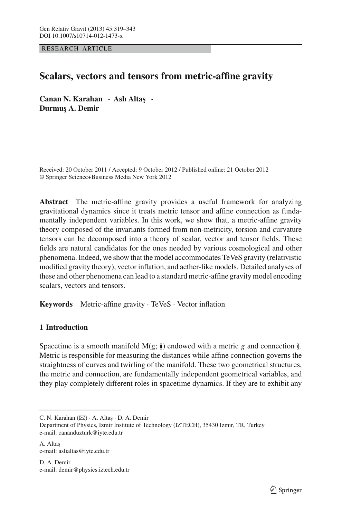RESEARCH ARTICLE

# **Scalars, vectors and tensors from metric-affine gravity**

**Canan N. Karahan · Asli Altaş · Durmu¸s A. Demir**

Received: 20 October 2011 / Accepted: 9 October 2012 / Published online: 21 October 2012 © Springer Science+Business Media New York 2012

**Abstract** The metric-affine gravity provides a useful framework for analyzing gravitational dynamics since it treats metric tensor and affine connection as fundamentally independent variables. In this work, we show that, a metric-affine gravity theory composed of the invariants formed from non-metricity, torsion and curvature tensors can be decomposed into a theory of scalar, vector and tensor fields. These fields are natural candidates for the ones needed by various cosmological and other phenomena. Indeed, we show that the model accommodates TeVeS gravity (relativistic modified gravity theory), vector inflation, and aether-like models. Detailed analyses of these and other phenomena can lead to a standard metric-affine gravity model encoding scalars, vectors and tensors.

**Keywords** Metric-affine gravity · TeVeS · Vector inflation

# **1 Introduction**

Spacetime is a smooth manifold  $M(g; \ell)$  endowed with a metric *g* and connection  $\ell$ . Metric is responsible for measuring the distances while affine connection governs the straightness of curves and twirling of the manifold. These two geometrical structures, the metric and connection, are fundamentally independent geometrical variables, and they play completely different roles in spacetime dynamics. If they are to exhibit any

D. A. Demir e-mail: demir@physics.iztech.edu.tr

C. N. Karahan  $(\boxtimes)$  · A. Altas · D. A. Demir

Department of Physics, Izmir Institute of Technology (IZTECH), 35430 Izmir, TR, Turkey e-mail: cananduzturk@iyte.edu.tr

A. Altaş e-mail: aslialtas@iyte.edu.tr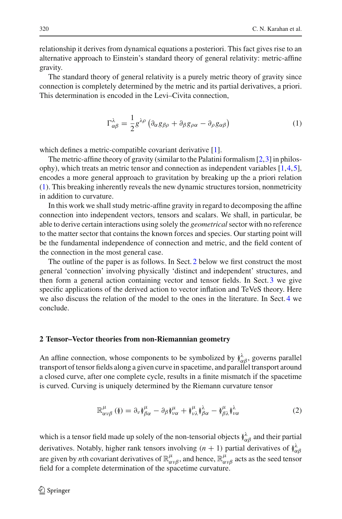relationship it derives from dynamical equations a posteriori. This fact gives rise to an alternative approach to Einstein's standard theory of general relativity: metric-affine gravity.

The standard theory of general relativity is a purely metric theory of gravity since connection is completely determined by the metric and its partial derivatives, a priori. This determination is encoded in the Levi–Civita connection,

$$
\Gamma^{\lambda}_{\alpha\beta} = \frac{1}{2} g^{\lambda\rho} \left( \partial_{\alpha} g_{\beta\rho} + \partial_{\beta} g_{\rho\alpha} - \partial_{\rho} g_{\alpha\beta} \right)
$$
 (1)

<span id="page-1-0"></span>which defines a metric-compatible covariant derivative [\[1\]](#page-22-0).

The metric-affine theory of gravity (similar to the Palatini formalism [\[2,](#page-22-1)[3\]](#page-22-2) in philosophy), which treats an metric tensor and connection as independent variables [\[1](#page-22-0)[,4](#page-23-0)[,5](#page-23-1)], encodes a more general approach to gravitation by breaking up the a priori relation [\(1\)](#page-1-0). This breaking inherently reveals the new dynamic structures torsion, nonmetricity in addition to curvature.

In this work we shall study metric-affine gravity in regard to decomposing the affine connection into independent vectors, tensors and scalars. We shall, in particular, be able to derive certain interactions using solely the *geometrical*sector with no reference to the matter sector that contains the known forces and species. Our starting point will be the fundamental independence of connection and metric, and the field content of the connection in the most general case.

The outline of the paper is as follows. In Sect. [2](#page-1-1) below we first construct the most general 'connection' involving physically 'distinct and independent' structures, and then form a general action containing vector and tensor fields. In Sect. [3](#page-12-0) we give specific applications of the derived action to vector inflation and TeVeS theory. Here we also discuss the relation of the model to the ones in the literature. In Sect. [4](#page-17-0) we conclude.

#### <span id="page-1-1"></span>**2 Tensor–Vector theories from non-Riemannian geometry**

An affine connection, whose components to be symbolized by  $\check{y}^{\lambda}_{\alpha\beta}$ , governs parallel transport of tensor fields along a given curve in spacetime, and parallel transport around a closed curve, after one complete cycle, results in a finite mismatch if the spacetime is curved. Curving is uniquely determined by the Riemann curvature tensor

$$
\mathbb{R}^{\mu}_{\alpha\nu\beta}(\mathbf{I}) = \partial_{\nu}\mathbf{I}^{\mu}_{\beta\alpha} - \partial_{\beta}\mathbf{I}^{\mu}_{\nu\alpha} + \mathbf{I}^{\mu}_{\nu\lambda}\mathbf{I}^{\lambda}_{\beta\alpha} - \mathbf{I}^{\mu}_{\beta\lambda}\mathbf{I}^{\lambda}_{\nu\alpha}
$$
(2)

<span id="page-1-2"></span>which is a tensor field made up solely of the non-tensorial objects  $\check{y}^\lambda_{\alpha\beta}$  and their partial derivatives. Notably, higher rank tensors involving  $(n + 1)$  partial derivatives of  $\hat{\phi}^{\lambda}_{\alpha\beta}$ are given by *n*th covariant derivatives of  $\mathbb{R}^\mu_{\alpha\nu\beta}$ , and hence,  $\mathbb{R}^\mu_{\alpha\nu\beta}$  acts as the seed tensor field for a complete determination of the spacetime curvature.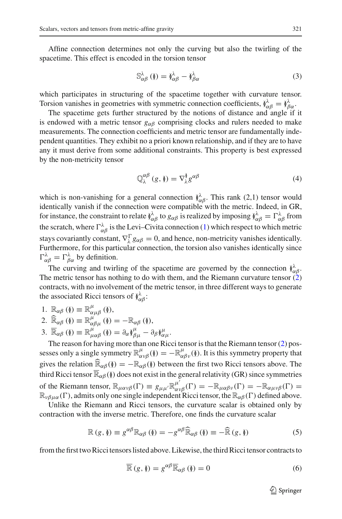Affine connection determines not only the curving but also the twirling of the spacetime. This effect is encoded in the torsion tensor

$$
\mathbb{S}_{\alpha\beta}^{\lambda}\left(\mathbf{0}\right) = \mathbf{0}_{\alpha\beta}^{\lambda} - \mathbf{0}_{\beta\alpha}^{\lambda}\tag{3}
$$

which participates in structuring of the spacetime together with curvature tensor. Torsion vanishes in geometries with symmetric connection coefficients,  $\hat{\rho}^{\lambda}_{\alpha\beta} = \hat{\rho}^{\lambda}_{\beta\alpha}$ .

The spacetime gets further structured by the notions of distance and angle if it is endowed with a metric tensor  $g_{\alpha\beta}$  comprising clocks and rulers needed to make measurements. The connection coefficients and metric tensor are fundamentally independent quantities. They exhibit no a priori known relationship, and if they are to have any it must derive from some additional constraints. This property is best expressed by the non-metricity tensor

$$
\mathbb{Q}_{\lambda}^{\alpha\beta} \left( g, \mathbf{0} \right) = \nabla_{\lambda}^{\mathbf{N}} g^{\alpha\beta} \tag{4}
$$

which is non-vanishing for a general connection  $\hat{N}$ <sub> $\alpha\beta$ </sub>. This rank (2,1) tensor would identically vanish if the connection were compatible with the metric. Indeed, in GR, for instance, the constraint to relate  $\phi^{\lambda}_{\alpha\beta}$  to  $g_{\alpha\beta}$  is realized by imposing  $\phi^{\lambda}_{\alpha\beta} = \Gamma^{\lambda}_{\alpha\beta}$  from the scratch, where  $\Gamma^{\lambda}_{\alpha\beta}$  is the Levi–Civita connection [\(1\)](#page-1-0) which respect to which metric stays covariantly constant,  $\nabla_{\lambda}^{\Gamma} g_{\alpha\beta} = 0$ , and hence, non-metricity vanishes identically. Furthermore, for this particular connection, the torsion also vanishes identically since  $\Gamma^{\lambda}_{\alpha\beta} = \Gamma^{\lambda}_{\beta\alpha}$  by definition.

The curving and twirling of the spacetime are governed by the connection  $\check{R}^{\lambda}_{\alpha\beta}$ . The metric tensor has nothing to do with them, and the Riemann curvature tensor  $(2)$ contracts, with no involvement of the metric tensor, in three different ways to generate the associated Ricci tensors of  $(\lambda^{\lambda}_{\alpha\beta})$ :

1.  $\mathbb{R}_{\alpha\beta}(\mathbf{0}) \equiv \mathbb{R}^{\mu}_{\alpha\mu\beta}(\mathbf{0}),$ 

2. 
$$
\widehat{\mathbb{R}}_{\alpha\beta}(\mathbf{0}) \equiv \mathbb{R}_{\alpha\beta\mu}^{\mu}(\mathbf{0}) = -\mathbb{R}_{\alpha\beta}(\mathbf{0}),
$$

3.  $\overline{\mathbb{R}}_{\alpha\beta}(\mathfrak{h}) \equiv \mathbb{R}^{\mu}_{\mu\alpha\beta}(\mathfrak{h}) = \partial_{\alpha}\mathfrak{h}^{\mu}_{\beta\mu} - \partial_{\beta}\mathfrak{h}^{\mu}_{\alpha\mu}.$ 

The reason for having more than one Ricci tensor is that the Riemann tensor [\(2\)](#page-1-2) possesses only a single symmetry  $\mathbb{R}^{\mu}_{\alpha\nu\beta}(\ell) = -\mathbb{R}^{\mu}_{\alpha\beta\nu}(\ell)$ . It is this symmetry property that gives the relation  $\widehat{\mathbb{R}}_{\alpha\beta}(\mathfrak{h}) = -\mathbb{R}_{\alpha\beta}(\mathfrak{h})$  between the first two Ricci tensors above. The third Ricci tensor  $\overline{\mathbb{R}}_{\alpha\beta}(\mathfrak{h})$  does not exist in the general relativity (GR) since symmetries of the Riemann tensor,  $\mathbb{R}_{\mu\alpha\nu\beta}(\Gamma) \equiv g_{\mu\mu'} \mathbb{R}^{\mu'}_{\alpha\nu\beta}(\Gamma) = -\mathbb{R}_{\mu\alpha\beta\nu}(\Gamma) = -\mathbb{R}_{\alpha\mu\nu\beta}(\Gamma) =$  $\mathbb{R}_{\nu\beta\mu\alpha}(\Gamma)$ , admits only one single independent Ricci tensor, the  $\mathbb{R}_{\alpha\beta}(\Gamma)$  defined above.

Unlike the Riemann and Ricci tensors, the curvature scalar is obtained only by contraction with the inverse metric. Therefore, one finds the curvature scalar

$$
\mathbb{R}\left(g,\mathfrak{h}\right) \equiv g^{\alpha\beta}\mathbb{R}_{\alpha\beta}\left(\mathfrak{h}\right) = -g^{\alpha\beta}\widehat{\mathbb{R}}_{\alpha\beta}\left(\mathfrak{h}\right) \equiv -\widehat{\mathbb{R}}\left(g,\mathfrak{h}\right) \tag{5}
$$

from the first two Ricci tensors listed above. Likewise, the third Ricci tensor contracts to

$$
\overline{\mathbb{R}}\left(g,\,\mathfrak{h}\right) = g^{\alpha\beta}\overline{\mathbb{R}}_{\alpha\beta}\left(\mathfrak{h}\right) = 0\tag{6}
$$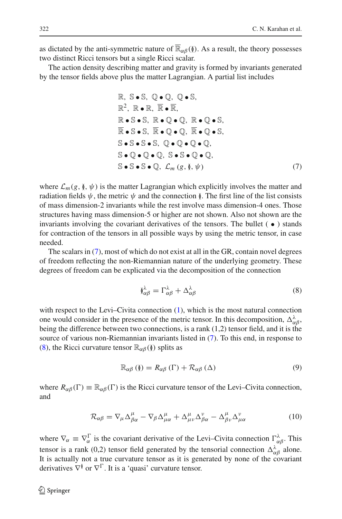as dictated by the anti-symmetric nature of  $\overline{\mathbb{R}}_{\alpha\beta}(\S)$ . As a result, the theory possesses two distinct Ricci tensors but a single Ricci scalar.

<span id="page-3-0"></span>The action density describing matter and gravity is formed by invariants generated by the tensor fields above plus the matter Lagrangian. A partial list includes

R, S-S, Q-Q, Q-S,  
\nR<sup>2</sup>, R-R, R, R, R,  
\nR-S-S, R-Q-Q, R-Q-S,  
\nR-S-S, R-Q-Q, R-Q-S,  
\nS-S-S-S, Q-Q-Q-Q,  
\nS-Q-Q-Q, S-S-Q-Q,  
\nS-S-S-Q, 
$$
\mathcal{L}_m(g, \lambda, \psi)
$$
 (7)

where  $\mathcal{L}_m(g, \mathcal{Y}, \psi)$  is the matter Lagrangian which explicitly involves the matter and radiation fields  $\psi$ , the metric  $\psi$  and the connection  $\chi$ . The first line of the list consists of mass dimension-2 invariants while the rest involve mass dimension-4 ones. Those structures having mass dimension-5 or higher are not shown. Also not shown are the invariants involving the covariant derivatives of the tensors. The bullet  $( \bullet )$  stands for contraction of the tensors in all possible ways by using the metric tensor, in case needed.

The scalars in [\(7\)](#page-3-0), most of which do not exist at all in the GR, contain novel degrees of freedom reflecting the non-Riemannian nature of the underlying geometry. These degrees of freedom can be explicated via the decomposition of the connection

$$
\delta_{\alpha\beta}^{\lambda} = \Gamma_{\alpha\beta}^{\lambda} + \Delta_{\alpha\beta}^{\lambda} \tag{8}
$$

<span id="page-3-1"></span>with respect to the Levi–Civita connection [\(1\)](#page-1-0), which is the most natural connection one would consider in the presence of the metric tensor. In this decomposition,  $\Delta_{\alpha\beta}^{\lambda}$ , being the difference between two connections, is a rank (1,2) tensor field, and it is the source of various non-Riemannian invariants listed in [\(7\)](#page-3-0). To this end, in response to [\(8\)](#page-3-1), the Ricci curvature tensor  $\mathbb{R}_{\alpha\beta}(\mathfrak{h})$  splits as

$$
\mathbb{R}_{\alpha\beta}(\mathbf{I}) = R_{\alpha\beta}(\Gamma) + \mathcal{R}_{\alpha\beta}(\Delta)
$$
\n(9)

<span id="page-3-2"></span>where  $R_{\alpha\beta}(\Gamma) \equiv \mathbb{R}_{\alpha\beta}(\Gamma)$  is the Ricci curvature tensor of the Levi–Civita connection, and

$$
\mathcal{R}_{\alpha\beta} = \nabla_{\mu}\Delta^{\mu}_{\beta\alpha} - \nabla_{\beta}\Delta^{\mu}_{\mu\alpha} + \Delta^{\mu}_{\mu\nu}\Delta^{\nu}_{\beta\alpha} - \Delta^{\mu}_{\beta\nu}\Delta^{\nu}_{\mu\alpha} \tag{10}
$$

where  $\nabla_{\alpha} \equiv \nabla_{\alpha}^{\Gamma}$  is the covariant derivative of the Levi–Civita connection  $\Gamma^{\lambda}_{\alpha\beta}$ . This tensor is a rank (0,2) tensor field generated by the tensorial connection  $\Delta_{\alpha\beta}^{\lambda}$  alone. It is actually not a true curvature tensor as it is generated by none of the covariant derivatives  $\nabla^{\check{y}}$  or  $\nabla^{\Gamma}$ . It is a 'quasi' curvature tensor.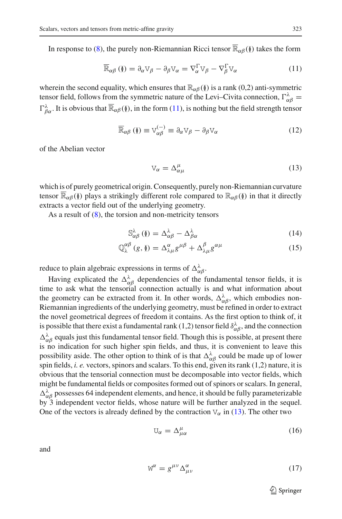<span id="page-4-0"></span>In response to [\(8\)](#page-3-1), the purely non-Riemannian Ricci tensor  $\overline{\mathbb{R}}_{\alpha\beta}(\mathfrak{h})$  takes the form

$$
\overline{\mathbb{R}}_{\alpha\beta} \left( \emptyset \right) = \partial_{\alpha} \mathbb{V}_{\beta} - \partial_{\beta} \mathbb{V}_{\alpha} = \nabla_{\alpha}^{\Gamma} \mathbb{V}_{\beta} - \nabla_{\beta}^{\Gamma} \mathbb{V}_{\alpha} \tag{11}
$$

wherein the second equality, which ensures that  $\mathbb{R}_{\alpha\beta}(\mathfrak{h})$  is a rank (0,2) anti-symmetric tensor field, follows from the symmetric nature of the Levi–Civita connection,  $\Gamma^{\lambda}_{\alpha\beta} =$  $\Gamma_{\beta\alpha}^{\lambda}$ . It is obvious that  $\overline{\mathbb{R}}_{\alpha\beta}(\S)$ , in the form [\(11\)](#page-4-0), is nothing but the field strength tensor

<span id="page-4-1"></span>
$$
\overline{\mathbb{R}}_{\alpha\beta} \left( \underline{\mathbf{V}} \right) \equiv \mathbf{V}_{\alpha\beta}^{(-)} \equiv \partial_{\alpha} \mathbf{V}_{\beta} - \partial_{\beta} \mathbf{V}_{\alpha} \tag{12}
$$

<span id="page-4-4"></span>of the Abelian vector

$$
V_{\alpha} = \Delta^{\mu}_{\alpha\mu} \tag{13}
$$

which is of purely geometrical origin. Consequently, purely non-Riemannian curvature tensor  $\overline{\mathbb{R}}_{\alpha\beta}(\mathfrak{h})$  plays a strikingly different role compared to  $\mathbb{R}_{\alpha\beta}(\mathfrak{h})$  in that it directly extracts a vector field out of the underlying geometry.

As a result of  $(8)$ , the torsion and non-metricity tensors

$$
\mathbb{S}_{\alpha\beta}^{\lambda}\left(\mathbf{I}\right) = \Delta_{\alpha\beta}^{\lambda} - \Delta_{\beta\alpha}^{\lambda}\tag{14}
$$

$$
\mathbb{Q}_{\lambda}^{\alpha\beta} \left( g, \mathbf{0} \right) = \Delta_{\lambda\mu}^{\alpha} g^{\mu\beta} + \Delta_{\lambda\mu}^{\beta} g^{\alpha\mu} \tag{15}
$$

reduce to plain algebraic expressions in terms of  $\Delta_{\alpha\beta}^{\lambda}$ .

Having explicated the  $\Delta_{\alpha\beta}^{\lambda}$  dependencies of the fundamental tensor fields, it is time to ask what the tensorial connection actually is and what information about the geometry can be extracted from it. In other words,  $\Delta_{\alpha\beta}^{\lambda}$ , which embodies non-Riemannian ingredients of the underlying geometry, must be refined in order to extract the novel geometrical degrees of freedom it contains. As the first option to think of, it is possible that there exist a fundamental rank (1,2) tensor field  $\delta_{\alpha\beta}^{\lambda}$ , and the connection  $\Delta_{\alpha\beta}^{\lambda}$  equals just this fundamental tensor field. Though this is possible, at present there is no indication for such higher spin fields, and thus, it is convenient to leave this possibility aside. The other option to think of is that  $\Delta_{\alpha\beta}^{\lambda}$  could be made up of lower spin fields, *i. e.* vectors, spinors and scalars. To this end, given its rank (1,2) nature, it is obvious that the tensorial connection must be decomposable into vector fields, which might be fundamental fields or composites formed out of spinors or scalars. In general,  $\Delta_{\alpha\beta}^{\lambda}$  possesses 64 independent elements, and hence, it should be fully parameterizable by 3 independent vector fields, whose nature will be further analyzed in the sequel. One of the vectors is already defined by the contraction  $V_{\alpha}$  in [\(13\)](#page-4-1). The other two

<span id="page-4-2"></span>
$$
U_{\alpha} = \Delta^{\mu}_{\mu\alpha} \tag{16}
$$

<span id="page-4-3"></span>and

$$
W^{\alpha} = g^{\mu\nu} \Delta^{\alpha}_{\mu\nu} \tag{17}
$$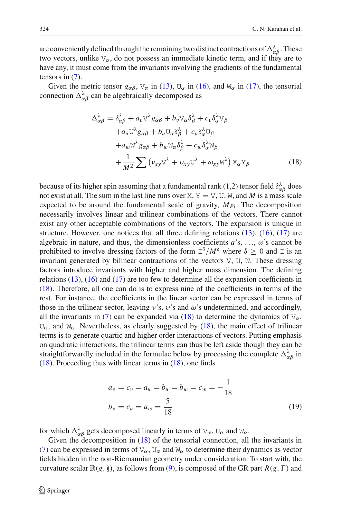are conveniently defined through the remaining two distinct contractions of  $\Delta_{\alpha\beta}^{\lambda}$ . These two vectors, unlike  $V_{\alpha}$ , do not possess an immediate kinetic term, and if they are to have any, it must come from the invariants involving the gradients of the fundamental tensors in [\(7\)](#page-3-0).

<span id="page-5-0"></span>Given the metric tensor  $g_{\alpha\beta}$ ,  $V_{\alpha}$  in [\(13\)](#page-4-1),  $U_{\alpha}$  in [\(16\)](#page-4-2), and  $W_{\alpha}$  in [\(17\)](#page-4-3), the tensorial connection  $\Delta_{\alpha\beta}^{\lambda}$  can be algebraically decomposed as

$$
\Delta_{\alpha\beta}^{\lambda} = \delta_{\alpha\beta}^{\lambda} + a_{\nu} \nabla^{\lambda} g_{\alpha\beta} + b_{\nu} \nabla_{\alpha} \delta_{\beta}^{\lambda} + c_{\nu} \delta_{\alpha}^{\lambda} \nabla_{\beta} \n+ a_{\mu} \nabla^{\lambda} g_{\alpha\beta} + b_{\mu} \nabla_{\alpha} \delta_{\beta}^{\lambda} + c_{\mu} \delta_{\alpha}^{\lambda} \nabla_{\beta} \n+ a_{\mu} \nabla^{\lambda} g_{\alpha\beta} + b_{\mu} \nabla_{\alpha} \delta_{\beta}^{\lambda} + c_{\mu} \delta_{\alpha}^{\lambda} \nabla_{\beta} \n+ \frac{1}{M^2} \sum (\nu_{xy} \nabla^{\lambda} + \nu_{xy} \nabla^{\lambda} + \omega_{xy} \nabla^{\lambda}) \nabla_{\alpha} \nabla_{\beta}
$$
\n(18)

because of its higher spin assuming that a fundamental rank (1,2) tensor field  $\delta_{\alpha\beta}^{\lambda}$  does not exist at all. The sum in the last line runs over X,  $Y = V$ , U, W, and M is a mass scale expected to be around the fundamental scale of gravity,  $M_{Pl}$ . The decomposition necessarily involves linear and trilinear combinations of the vectors. There cannot exist any other acceptable combinations of the vectors. The expansion is unique in structure. However, one notices that all three defining relations  $(13)$ ,  $(16)$ ,  $(17)$  are algebraic in nature, and thus, the dimensionless coefficients  $a$ 's, ...,  $\omega$ 's cannot be prohibited to involve dressing factors of the form  $I^{\delta}/M^{\delta}$  where  $\delta \geq 0$  and I is an invariant generated by bilinear contractions of the vectors V, U, W. These dressing factors introduce invariants with higher and higher mass dimension. The defining relations [\(13\)](#page-4-1), [\(16\)](#page-4-2) and [\(17\)](#page-4-3) are too few to determine all the expansion coefficients in [\(18\)](#page-5-0). Therefore, all one can do is to express nine of the coefficients in terms of the rest. For instance, the coefficients in the linear sector can be expressed in terms of those in the trilinear sector, leaving  $v$ 's,  $v$ 's and  $\omega$ 's undetermined, and accordingly, all the invariants in [\(7\)](#page-3-0) can be expanded via [\(18\)](#page-5-0) to determine the dynamics of  $V_{\alpha}$ ,  $U_{\alpha}$ , and  $W_{\alpha}$ . Nevertheless, as clearly suggested by [\(18\)](#page-5-0), the main effect of trilinear terms is to generate quartic and higher order interactions of vectors. Putting emphasis on quadratic interactions, the trilinear terms can thus be left aside though they can be straightforwardly included in the formulae below by processing the complete  $\Delta_{\alpha\beta}^{\lambda}$  in  $(18)$ . Proceeding thus with linear terms in  $(18)$ , one finds

$$
a_v = c_v = a_u = b_u = b_w = c_w = -\frac{1}{18}
$$
  

$$
b_v = c_u = a_w = \frac{5}{18}
$$
 (19)

for which  $\Delta_{\alpha\beta}^{\lambda}$  gets decomposed linearly in terms of  $V_{\alpha}$ ,  $U_{\alpha}$  and  $W_{\alpha}$ .

Given the decomposition in [\(18\)](#page-5-0) of the tensorial connection, all the invariants in [\(7\)](#page-3-0) can be expressed in terms of  $V_\alpha$ ,  $U_\alpha$  and  $W_\alpha$  to determine their dynamics as vector fields hidden in the non-Riemannian geometry under consideration. To start with, the curvature scalar  $\mathbb{R}(g, \emptyset)$ , as follows from [\(9\)](#page-3-2), is composed of the GR part  $R(g, \Gamma)$  and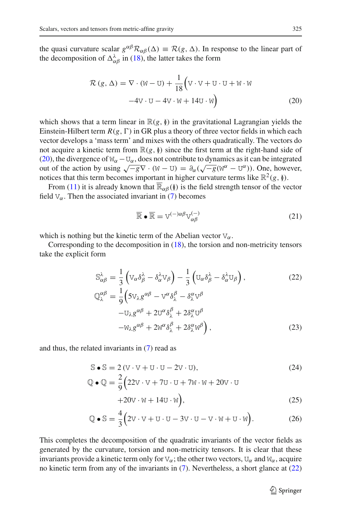<span id="page-6-0"></span>the quasi curvature scalar  $g^{\alpha\beta} \mathcal{R}_{\alpha\beta}(\Delta) \equiv \mathcal{R}(g, \Delta)$ . In response to the linear part of the decomposition of  $\Delta_{\alpha\beta}^{\lambda}$  in [\(18\)](#page-5-0), the latter takes the form

$$
\mathcal{R}(g,\Delta) = \nabla \cdot (\mathbf{W} - \mathbf{U}) + \frac{1}{18} \left( \mathbf{V} \cdot \mathbf{V} + \mathbf{U} \cdot \mathbf{U} + \mathbf{W} \cdot \mathbf{W} \right) \n-4\mathbf{V} \cdot \mathbf{U} - 4\mathbf{V} \cdot \mathbf{W} + 14\mathbf{U} \cdot \mathbf{W}
$$
\n(20)

which shows that a term linear in  $\mathbb{R}(g, \mathcal{Y})$  in the gravitational Lagrangian yields the Einstein-Hilbert term  $R(g, \Gamma)$  in GR plus a theory of three vector fields in which each vector develops a 'mass term' and mixes with the others quadratically. The vectors do not acquire a kinetic term from  $\mathbb{R}(g, \mathbb{I})$  since the first term at the right-hand side of [\(20\)](#page-6-0), the divergence of  $W_\alpha - U_\alpha$ , does not contribute to dynamics as it can be integrated out of the action by using  $\sqrt{-g}\nabla \cdot (\mathbf{W} - \mathbf{U}) = \partial_{\alpha}(\sqrt{-g}(\mathbf{W}^{\alpha} - \mathbf{U}^{\alpha}))$ . One, however, notices that this term becomes important in higher curvature terms like  $\mathbb{R}^2(g, \mathfrak{h})$ .

From [\(11\)](#page-4-0) it is already known that  $\mathbb{R}_{\alpha\beta}(\mathfrak{g})$  is the field strength tensor of the vector field  $V_\alpha$ . Then the associated invariant in [\(7\)](#page-3-0) becomes

<span id="page-6-2"></span>
$$
\overline{\mathbb{R}} \bullet \overline{\mathbb{R}} = V^{(-)\alpha\beta} V^{(-)}_{\alpha\beta} \tag{21}
$$

<span id="page-6-3"></span>which is nothing but the kinetic term of the Abelian vector  $V_\alpha$ .

<span id="page-6-1"></span>Corresponding to the decomposition in  $(18)$ , the torsion and non-metricity tensors take the explicit form

$$
\mathbb{S}_{\alpha\beta}^{\lambda} = \frac{1}{3} \left( \nabla_{\alpha} \delta_{\beta}^{\lambda} - \delta_{\alpha}^{\lambda} \nabla_{\beta} \right) - \frac{1}{3} \left( \nabla_{\alpha} \delta_{\beta}^{\lambda} - \delta_{\alpha}^{\lambda} \nabla_{\beta} \right),
$$
\n
$$
\mathbb{Q}_{\lambda}^{\alpha\beta} = \frac{1}{9} \left( 5 \nabla_{\lambda} g^{\alpha\beta} - \nabla^{\alpha} \delta_{\lambda}^{\beta} - \delta_{\lambda}^{\alpha} \nabla^{\beta} - \nabla_{\lambda} g^{\alpha\beta} + 2 \nabla^{\alpha} \delta_{\lambda}^{\beta} + 2 \delta_{\lambda}^{\alpha} \nabla^{\beta} \right)
$$
\n
$$
(22)
$$

$$
-W_{\lambda}g^{\alpha\beta} + 2W^{\alpha}\delta^{\beta}_{\lambda} + 2\delta^{\alpha}_{\lambda}W^{\beta}\Big), \qquad (23)
$$

and thus, the related invariants in [\(7\)](#page-3-0) read as

$$
\mathbb{S} \bullet \mathbb{S} = 2(\mathbf{V} \cdot \mathbf{V} + \mathbf{U} \cdot \mathbf{U} - 2\mathbf{V} \cdot \mathbf{U}),\tag{24}
$$

$$
\mathbb{Q} \bullet \mathbb{Q} = \frac{2}{9} \left( 22v \cdot v + 7v \cdot v + 7w \cdot w + 20v \cdot v + 20v \cdot v + 14v \cdot w \right),\tag{25}
$$

$$
\mathbb{Q} \bullet \mathbb{S} = \frac{4}{3} \Big( 2\mathbf{V} \cdot \mathbf{V} + \mathbf{U} \cdot \mathbf{U} - 3\mathbf{V} \cdot \mathbf{U} - \mathbf{V} \cdot \mathbf{W} + \mathbf{U} \cdot \mathbf{W} \Big). \tag{26}
$$

This completes the decomposition of the quadratic invariants of the vector fields as generated by the curvature, torsion and non-metricity tensors. It is clear that these invariants provide a kinetic term only for  $V_\alpha$ ; the other two vectors,  $U_\alpha$  and  $W_\alpha$ , acquire no kinetic term from any of the invariants in [\(7\)](#page-3-0). Nevertheless, a short glance at [\(22\)](#page-6-1)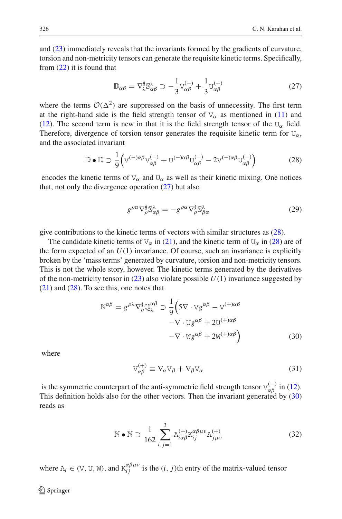and [\(23\)](#page-6-2) immediately reveals that the invariants formed by the gradients of curvature, torsion and non-metricity tensors can generate the requisite kinetic terms. Specifically, from [\(22\)](#page-6-1) it is found that

$$
\mathbb{D}_{\alpha\beta} = \nabla_{\lambda}^{\mathfrak{z}} \mathbb{S}_{\alpha\beta}^{\lambda} \supset -\frac{1}{3} \mathbb{V}_{\alpha\beta}^{(-)} + \frac{1}{3} \mathbb{U}_{\alpha\beta}^{(-)} \tag{27}
$$

<span id="page-7-0"></span>where the terms  $\mathcal{O}(\Delta^2)$  are suppressed on the basis of unnecessity. The first term at the right-hand side is the field strength tensor of  $V_{\alpha}$  as mentioned in [\(11\)](#page-4-0) and [\(12\)](#page-4-4). The second term is new in that it is the field strength tensor of the  $U_{\alpha}$  field. Therefore, divergence of torsion tensor generates the requisite kinetic term for  $U_{\alpha}$ , and the associated invariant

$$
\mathbb{D} \bullet \mathbb{D} \supset \frac{1}{9} \Big( \mathbb{V}^{(-)\alpha\beta} \mathbb{V}^{(-)}_{\alpha\beta} + \mathbb{U}^{(-)\alpha\beta} \mathbb{U}^{(-)}_{\alpha\beta} - 2\mathbb{V}^{(-)\alpha\beta} \mathbb{U}^{(-)}_{\alpha\beta} \Big) \tag{28}
$$

<span id="page-7-1"></span>encodes the kinetic terms of  $V_\alpha$  and  $U_\alpha$  as well as their kinetic mixing. One notices that, not only the divergence operation  $(27)$  but also

$$
g^{\rho\alpha}\nabla_{\rho}^{\check{\theta}}\mathbb{S}^{\lambda}_{\alpha\beta} = -g^{\rho\alpha}\nabla_{\rho}^{\check{\theta}}\mathbb{S}^{\lambda}_{\rho\alpha} \tag{29}
$$

<span id="page-7-4"></span>give contributions to the kinetic terms of vectors with similar structures as [\(28\)](#page-7-1).

The candidate kinetic terms of  $V_\alpha$  in [\(21\)](#page-6-3), and the kinetic term of  $U_\alpha$  in [\(28\)](#page-7-1) are of the form expected of an  $U(1)$  invariance. Of course, such an invariance is explicitly broken by the 'mass terms' generated by curvature, torsion and non-metricity tensors. This is not the whole story, however. The kinetic terms generated by the derivatives of the non-metricity tensor in  $(23)$  also violate possible  $U(1)$  invariance suggested by  $(21)$  and  $(28)$ . To see this, one notes that

$$
\mathbb{N}^{\alpha\beta} = g^{\rho\lambda} \nabla_{\rho}^{\mathfrak{g}} \mathbb{Q}_{\lambda}^{\alpha\beta} \supset \frac{1}{9} \Big( 5 \nabla \cdot \mathbb{V} g^{\alpha\beta} - \mathbb{V}^{(+)\alpha\beta} - \nabla \cdot \mathbb{U} g^{\alpha\beta} + 2 \mathbb{U}^{(+)\alpha\beta} - \nabla \cdot \mathbb{W} g^{\alpha\beta} + 2 \mathbb{W}^{(+)\alpha\beta} \Big)
$$
(30)

<span id="page-7-2"></span>where

$$
V_{\alpha\beta}^{(+)} \equiv \nabla_{\alpha}V_{\beta} + \nabla_{\beta}V_{\alpha} \tag{31}
$$

is the symmetric counterpart of the anti-symmetric field strength tensor  $V_{\alpha\beta}^{(-)}$  in [\(12\)](#page-4-4). This definition holds also for the other vectors. Then the invariant generated by [\(30\)](#page-7-2) reads as

$$
\mathbb{N} \bullet \mathbb{N} \supset \frac{1}{162} \sum_{i,j=1}^{3} \mathbf{A}_{i\alpha\beta}^{(+)} \mathbf{K}_{ij}^{\alpha\beta\mu\nu} \mathbf{A}_{j\mu\nu}^{(+)}
$$
(32)

<span id="page-7-3"></span>where  $A_i \in (V, U, W)$ , and  $K_{ij}^{\alpha\beta\mu\nu}$  is the  $(i, j)$ th entry of the matrix-valued tensor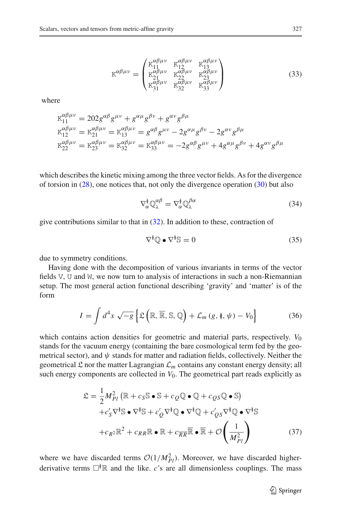$$
K^{\alpha\beta\mu\nu} = \begin{pmatrix} K_{11}^{\alpha\beta\mu\nu} & K_{12}^{\alpha\beta\mu\nu} & K_{13}^{\alpha\beta\mu\nu} \\ K_{21}^{\alpha\beta\mu\nu} & K_{22}^{\alpha\beta\mu\nu} & K_{23}^{\alpha\beta\mu\nu} \\ K_{31}^{\alpha\beta\mu\nu} & K_{32}^{\alpha\beta\mu\nu} & K_{33}^{\alpha\beta\mu\nu} \end{pmatrix}
$$
(33)

where

$$
\begin{aligned} \n\mathbf{K}_{11}^{\alpha\beta\mu\nu} &= 202g^{\alpha\beta}g^{\mu\nu} + g^{\alpha\mu}g^{\beta\nu} + g^{\alpha\nu}g^{\beta\mu} \\ \n\mathbf{K}_{12}^{\alpha\beta\mu\nu} &= \mathbf{K}_{21}^{\alpha\beta\mu\nu} = \mathbf{K}_{13}^{\alpha\beta\mu\nu} = g^{\alpha\beta}g^{\mu\nu} - 2g^{\alpha\mu}g^{\beta\nu} - 2g^{\alpha\nu}g^{\beta\mu} \\ \n\mathbf{K}_{22}^{\alpha\beta\mu\nu} &= \mathbf{K}_{23}^{\alpha\beta\mu\nu} = \mathbf{K}_{32}^{\alpha\beta\mu\nu} = \mathbf{K}_{33}^{\alpha\beta\mu\nu} = -2g^{\alpha\beta}g^{\mu\nu} + 4g^{\alpha\mu}g^{\beta\nu} + 4g^{\alpha\nu}g^{\beta\mu} \n\end{aligned}
$$

which describes the kinetic mixing among the three vector fields. As for the divergence of torsion in  $(28)$ , one notices that, not only the divergence operation  $(30)$  but also

$$
\nabla_{\alpha}^{\delta} \mathbb{Q}_{\lambda}^{\alpha \beta} = \nabla_{\alpha}^{\delta} \mathbb{Q}_{\lambda}^{\beta \alpha} \tag{34}
$$

<span id="page-8-1"></span>give contributions similar to that in  $(32)$ . In addition to these, contraction of

$$
\nabla^{\mathbf{i}} \mathbb{Q} \bullet \nabla^{\mathbf{i}} \mathbb{S} = 0 \tag{35}
$$

due to symmetry conditions.

Having done with the decomposition of various invariants in terms of the vector fields V, U and W, we now turn to analysis of interactions in such a non-Riemannian setup. The most general action functional describing 'gravity' and 'matter' is of the form

$$
I = \int d^4x \sqrt{-g} \left\{ \mathfrak{L} \left( \mathbb{R}, \overline{\mathbb{R}}, \mathbb{S}, \mathbb{Q} \right) + \mathcal{L}_m \left( g, \mathfrak{h}, \psi \right) - V_0 \right\}
$$
(36)

<span id="page-8-2"></span>which contains action densities for geometric and material parts, respectively.  $V_0$ stands for the vacuum energy (containing the bare cosmological term fed by the geometrical sector), and  $\psi$  stands for matter and radiation fields, collectively. Neither the geometrical  $\mathcal L$  nor the matter Lagrangian  $\mathcal L_m$  contains any constant energy density; all such energy components are collected in  $V_0$ . The geometrical part reads explicitly as

<span id="page-8-0"></span>
$$
\mathcal{L} = \frac{1}{2} M_{Pl}^2 \left( \mathbb{R} + c_S \mathbb{S} \bullet \mathbb{S} + c_Q \mathbb{Q} \bullet \mathbb{Q} + c_Q s \mathbb{Q} \bullet \mathbb{S} \right) \n+ c_S' \nabla^{\mathsf{Y}} \mathbb{S} \bullet \nabla^{\mathsf{Y}} \mathbb{S} + c_Q' \nabla^{\mathsf{Y}} \mathbb{Q} \bullet \nabla^{\mathsf{Y}} \mathbb{Q} + c_Q' s \nabla^{\mathsf{Y}} \mathbb{Q} \bullet \nabla^{\mathsf{Y}} \mathbb{S} \n+ c_R z \mathbb{R}^2 + c_{RR} \mathbb{R} \bullet \mathbb{R} + c_{RR} \mathbb{\overline{R}} \bullet \mathbb{\overline{R}} + \mathcal{O} \left( \frac{1}{M_{Pl}^2} \right)
$$
\n(37)

where we have discarded terms  $O(1/M_{Pl}^2)$ . Moreover, we have discarded higherderivative terms  $\Box^{\check{y}}\mathbb{R}$  and the like. *c*'s are all dimensionless couplings. The mass

<sup>2</sup> Springer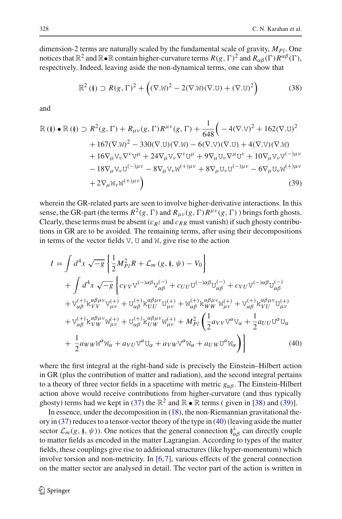dimension-2 terms are naturally scaled by the fundamental scale of gravity,  $M_{Pl}$ . One notices that  $\mathbb{R}^2$  and  $\mathbb{R}$  •  $\mathbb{R}$  contain higher-curvature terms  $R(g, \Gamma)^2$  and  $R_{\alpha\beta}(\Gamma)R^{\alpha\beta}(\Gamma)$ , respectively. Indeed, leaving aside the non-dynamical terms, one can show that

$$
\mathbb{R}^2\left(\mathbf{I}\right) \supset R(g,\Gamma)^2 + \left((\nabla \mathbf{M})^2 - 2(\nabla \mathbf{M})(\nabla \mathbf{U}) + (\nabla \mathbf{U})^2\right) \tag{38}
$$

<span id="page-9-0"></span>and

<span id="page-9-1"></span>
$$
\mathbb{R}(\mathbf{I}) \bullet \mathbb{R}(\mathbf{I}) \supset R^{2}(g, \Gamma) + R_{\mu\nu}(g, \Gamma)R^{\mu\nu}(g, \Gamma) + \frac{1}{648} \Big( -4(\nabla \cdot \mathbf{V})^{2} + 162(\nabla \cdot \mathbf{U})^{2} + 167(\nabla \cdot \mathbf{W})^{2} - 330(\nabla \cdot \mathbf{U})(\nabla \cdot \mathbf{W}) - 6(\nabla \cdot \mathbf{V})(\nabla \cdot \mathbf{U}) + 4(\nabla \cdot \mathbf{V})(\nabla \cdot \mathbf{W}) + 16\nabla_{\mu}\nabla_{\nu}\nabla^{\nu}\nabla^{\mu} + 24\nabla_{\mu}\nabla_{\nu}\nabla^{\nu}\mathbf{U}^{\mu} + 9\nabla_{\mu}\mathbf{U}_{\nu}\nabla^{\mu}\mathbf{U}^{\nu} + 10\nabla_{\mu}\nabla_{\nu}\nabla^{(-)\mu\nu} - 18\nabla_{\mu}\nabla_{\nu}\mathbf{U}^{(-)\mu\nu} - 8\nabla_{\mu}\mathbf{V}_{\nu}\mathbf{W}^{(+) \mu\nu} + 8\nabla_{\mu}\mathbf{U}_{\nu}\mathbf{U}^{(-)\mu\nu} - 6\nabla_{\mu}\mathbf{U}_{\nu}\mathbf{W}^{(+) \mu\nu} + 2\nabla_{\mu}\mathbf{W}_{\nu}\mathbf{W}^{(+) \mu\nu} \Big)
$$
\n(39)

wherein the GR-related parts are seen to involve higher-derivative interactions. In this sense, the GR-part (the terms  $R^2(g, \Gamma)$  and  $R_{\mu\nu}(g, \Gamma)R^{\mu\nu}(g, \Gamma)$ ) brings forth ghosts. Clearly, these terms must be absent  $(c_{R2}$  and  $c_{RR}$  must vanish) if such ghosty contributions in GR are to be avoided. The remaining terms, after using their decompositions in terms of the vector fields V, U and W, give rise to the action

<span id="page-9-2"></span>
$$
I = \int d^{4}x \sqrt{-g} \left\{ \frac{1}{2} M_{Pl}^{2} R + \mathcal{L}_{m} (g, \hat{\mathbf{y}}, \psi) - V_{0} \right\} + \int d^{4}x \sqrt{-g} \left\{ c_{VV} V^{(-)\alpha\beta} V_{\alpha\beta}^{(-)} + c_{UU} U^{(-)\alpha\beta} U_{\alpha\beta}^{(-)} + c_{VU} V^{(-)\alpha\beta} U_{\alpha\beta}^{(-)} \right. + V_{\alpha\beta}^{(+)} k_{VV}^{\alpha\beta\mu\nu} V_{\mu\nu}^{(+)} + U_{\alpha\beta}^{(+)} k_{UU}^{\alpha\beta\mu\nu} U_{\mu\nu}^{(+)} + W_{\alpha\beta}^{(+)} k_{WW}^{\alpha\mu\nu} W_{\mu\nu}^{(+)} + V_{\alpha\beta}^{(+)} k_{VU}^{\alpha\mu\nu} U_{\mu\nu}^{(+)} + V_{\alpha\beta}^{(+)} k_{VW}^{\alpha\mu\nu} W_{\mu\nu}^{(+)} + U_{\alpha\beta}^{(+)} k_{UW}^{\alpha} W_{\mu\nu}^{(+)} + M_{Pl}^{2} \left( \frac{1}{2} a_{VV} V^{\alpha} V_{\alpha} + \frac{1}{2} a_{UU} U^{\alpha} U_{\alpha} \right. + \frac{1}{2} a_{WW} W^{\alpha} W_{\alpha} + a_{VU} V^{\alpha} U_{\alpha} + a_{VW} V^{\alpha} W_{\alpha} + a_{UW} U^{\alpha} W_{\alpha} \right) \}
$$
(40)

where the first integral at the right-hand side is precisely the Einstein–Hilbert action in GR (plus the contribution of matter and radiation), and the second integral pertains to a theory of three vector fields in a spacetime with metric  $g_{\alpha\beta}$ . The Einstein-Hilbert action above would receive contributions from higher-curvature (and thus typically ghosty) terms had we kept in [\(37\)](#page-8-0) the  $\mathbb{R}^2$  and  $\mathbb{R} \cdot \mathbb{R}$  terms ( given in [\[38\)](#page-9-0) and [\(39\)](#page-9-1)].

In essence, under the decomposition in  $(18)$ , the non-Riemannian gravitational theory in [\(37\)](#page-8-0) reduces to a tensor-vector theory of the type in [\(40\)](#page-9-2) (leaving aside the matter sector  $\mathcal{L}_m(g, \emptyset, \psi)$ ). One notices that the general connection  $\hat{\phi}^{\lambda}_{\alpha\beta}$  can directly couple to matter fields as encoded in the matter Lagrangian. According to types of the matter fields, these couplings give rise to additional structures (like hyper-momentum) which involve torsion and non-metricity. In [\[6](#page-23-2),[7\]](#page-23-3), various effects of the general connection on the matter sector are analysed in detail. The vector part of the action is written in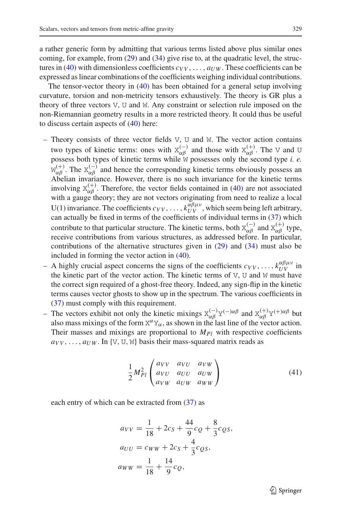a rather generic form by admitting that various terms listed above plus similar ones coming, for example, from  $(29)$  and  $(34)$  give rise to, at the quadratic level, the struc-tures in [\(40\)](#page-9-2) with dimensionless coefficients  $c_{VV}$ , ...,  $a_{UW}$ . These coefficients can be expressed as linear combinations of the coefficients weighing individual contributions.

The tensor-vector theory in [\(40\)](#page-9-2) has been obtained for a general setup involving curvature, torsion and non-metricity tensors exhaustively. The theory is GR plus a theory of three vectors V, U and W. Any constraint or selection rule imposed on the non-Riemannian geometry results in a more restricted theory. It could thus be useful to discuss certain aspects of  $(40)$  here:

- $-$  Theory consists of three vector fields V, U and W. The vector action contains two types of kinetic terms: ones with  $X_{\alpha\beta}^{(-)}$  and those with  $X_{\alpha\beta}^{(+)}$ . The V and U possess both types of kinetic terms while W possesses only the second type *i. e.*  $W_{\alpha\beta}^{(+)}$ . The  $X_{\alpha\beta}^{(-)}$  and hence the corresponding kinetic terms obviously possess an Abelian invariance. However, there is no such invariance for the kinetic terms involving  $X_{\alpha\beta}^{(+)}$ . Therefore, the vector fields contained in [\(40\)](#page-9-2) are not associated with a gauge theory; they are not vectors originating from need to realize a local U(1) invariance. The coefficients  $c_{VV}$ , ...,  $k_{UV}^{\alpha\beta\mu\nu}$ , which seem being left arbitrary, can actually be fixed in terms of the coefficients of individual terms in [\(37\)](#page-8-0) which contribute to that particular structure. The kinetic terms, both  $X_{\alpha\beta}^{(-)}$  and  $X_{\alpha\beta}^{(+)}$  type, receive contributions from various structures, as addressed before. In particular, contributions of the alternative structures given in [\(29\)](#page-7-4) and [\(34\)](#page-8-1) must also be included in forming the vector action in [\(40\)](#page-9-2).
- $-$  A highly crucial aspect concerns the signs of the coefficients  $c_{VV}$ , ...,  $k_{UV}^{\alpha\beta\mu\nu}$  in the kinetic part of the vector action. The kinetic terms of  $V$ ,  $U$  and  $W$  must have the correct sign required of a ghost-free theory. Indeed, any sign-flip in the kinetic terms causes vector ghosts to show up in the spectrum. The various coefficients in [\(37\)](#page-8-0) must comply with this requirement.
- The vectors exhibit not only the kinetic mixings  $X_{\alpha\beta}^{(-)}Y^{(-)\alpha\beta}$  and  $X_{\alpha\beta}^{(+)}Y^{(+)\alpha\beta}$  but also mass mixings of the form  $X^{\alpha}Y_{\alpha}$ , as shown in the last line of the vector action. Their masses and mixings are proportional to  $M_{Pl}$  with respective coefficients  $a_{VV}$ , ...,  $a_{UW}$ . In {V, U, W} basis their mass-squared matrix reads as

$$
\frac{1}{2}M_{Pl}^2 \begin{pmatrix} a_{VV} & a_{VU} & a_{VW} \\ a_{VU} & a_{UU} & a_{UW} \\ a_{VW} & a_{UW} & a_{WW} \end{pmatrix}
$$
 (41)

<span id="page-10-1"></span><span id="page-10-0"></span>each entry of which can be extracted from  $(37)$  as

$$
a_{VV} = \frac{1}{18} + 2c_S + \frac{44}{9}c_Q + \frac{8}{3}c_{QS},
$$
  
\n
$$
a_{UU} = c_{WW} + 2c_S + \frac{4}{3}c_{QS},
$$
  
\n
$$
a_{WW} = \frac{1}{18} + \frac{14}{9}c_Q,
$$

 $\mathcal{D}$  Springer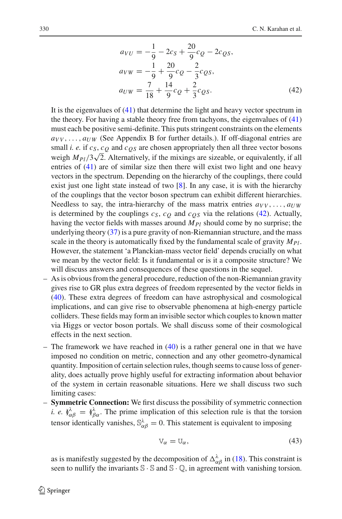$$
a_{VU} = -\frac{1}{9} - 2c_S + \frac{20}{9}c_Q - 2c_{QS},
$$
  
\n
$$
a_{VW} = -\frac{1}{9} + \frac{20}{9}c_Q - \frac{2}{3}c_{QS},
$$
  
\n
$$
a_{UW} = \frac{7}{18} + \frac{14}{9}c_Q + \frac{2}{3}c_{QS}.
$$
\n(42)

It is the eigenvalues of  $(41)$  that determine the light and heavy vector spectrum in the theory. For having a stable theory free from tachyons, the eigenvalues of [\(41\)](#page-10-0) must each be positive semi-definite. This puts stringent constraints on the elements  $a_{VV}, \ldots, a_{UW}$  (See Appendix B for further details.). If off-diagonal entries are small *i. e.* if  $c_S$ ,  $c_Q$  and  $c_{OS}$  are chosen appropriately then all three vector bosons sman *t. e.* if  $c_S$ ,  $c_Q$  and  $c_Q$  are chosen appropriately then an unce vector bosons<br>weigh  $M_{Pl}/3\sqrt{2}$ . Alternatively, if the mixings are sizeable, or equivalently, if all entries of [\(41\)](#page-10-0) are of similar size then there will exist two light and one heavy vectors in the spectrum. Depending on the hierarchy of the couplings, there could exist just one light state instead of two [\[8\]](#page-23-4). In any case, it is with the hierarchy of the couplings that the vector boson spectrum can exhibit different hierarchies. Needless to say, the intra-hierarchy of the mass matrix entries  $a_{VV}, \ldots, a_{UW}$ is determined by the couplings  $c_S$ ,  $c_Q$  and  $c_{OS}$  via the relations [\(42\)](#page-10-1). Actually, having the vector fields with masses around  $M_{Pl}$  should come by no surprise; the underlying theory [\(37\)](#page-8-0) is a pure gravity of non-Riemannian structure, and the mass scale in the theory is automatically fixed by the fundamental scale of gravity  $M_{Pl}$ . However, the statement 'a Planckian-mass vector field' depends crucially on what we mean by the vector field: Is it fundamental or is it a composite structure? We will discuss answers and consequences of these questions in the sequel.

- As is obvious from the general procedure, reduction of the non-Riemannian gravity gives rise to GR plus extra degrees of freedom represented by the vector fields in [\(40\)](#page-9-2). These extra degrees of freedom can have astrophysical and cosmological implications, and can give rise to observable phenomena at high-energy particle colliders. These fields may form an invisible sector which couples to known matter via Higgs or vector boson portals. We shall discuss some of their cosmological effects in the next section.
- The framework we have reached in  $(40)$  is a rather general one in that we have imposed no condition on metric, connection and any other geometro-dynamical quantity. Imposition of certain selection rules, though seems to cause loss of generality, does actually prove highly useful for extracting information about behavior of the system in certain reasonable situations. Here we shall discuss two such limiting cases:
- **Symmetric Connection:** We first discuss the possibility of symmetric connection *i. e.*  $\hat{\theta}^{\lambda}_{\alpha\beta} = \hat{\theta}^{\lambda}_{\beta\alpha}$ . The prime implication of this selection rule is that the torsion tensor identically vanishes,  $\mathbb{S}_{\alpha\beta}^{\lambda} = 0$ . This statement is equivalent to imposing

$$
V_{\alpha} = U_{\alpha},\tag{43}
$$

<span id="page-11-0"></span>as is manifestly suggested by the decomposition of  $\Delta_{\alpha\beta}^{\lambda}$  in [\(18\)](#page-5-0). This constraint is seen to nullify the invariants  $\mathbb{S} \cdot \mathbb{S}$  and  $\mathbb{S} \cdot \mathbb{Q}$ , in agreement with vanishing torsion.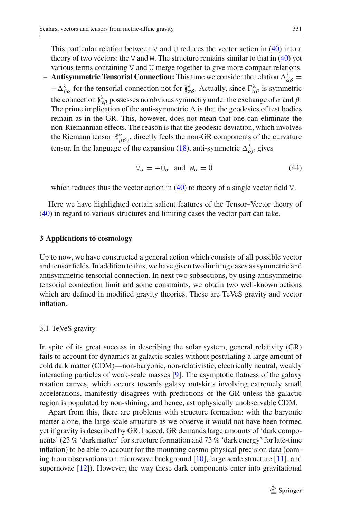This particular relation between V and U reduces the vector action in  $(40)$  into a theory of two vectors: the V and W. The structure remains similar to that in  $(40)$  yet various terms containing V and U merge together to give more compact relations. **- Antisymmetric Tensorial Connection:** This time we consider the relation  $\Delta_{\alpha\beta}^{\lambda}$  =  $-\Delta_{\beta\alpha}^{\lambda}$  for the tensorial connection not for  $\check{N}^{\lambda}_{\alpha\beta}$ . Actually, since  $\Gamma^{\lambda}_{\alpha\beta}$  is symmetric the connection  $\int_{\alpha\beta}^{\lambda}$  possesses no obvious symmetry under the exchange of  $\alpha$  and  $\beta$ . The prime implication of the anti-symmetric  $\Delta$  is that the geodesics of test bodies remain as in the GR. This, however, does not mean that one can eliminate the non-Riemannian effects. The reason is that the geodesic deviation, which involves the Riemann tensor  $\mathbb{R}^{\alpha}_{\mu\beta\nu}$ , directly feels the non-GR components of the curvature tensor. In the language of the expansion [\(18\)](#page-5-0), anti-symmetric  $\Delta_{\alpha\beta}^{\lambda}$  gives

$$
V_{\alpha} = -U_{\alpha} \text{ and } W_{\alpha} = 0 \tag{44}
$$

<span id="page-12-1"></span>which reduces thus the vector action in  $(40)$  to theory of a single vector field V.

Here we have highlighted certain salient features of the Tensor–Vector theory of [\(40\)](#page-9-2) in regard to various structures and limiting cases the vector part can take.

## <span id="page-12-0"></span>**3 Applications to cosmology**

Up to now, we have constructed a general action which consists of all possible vector and tensor fields. In addition to this, we have given two limiting cases as symmetric and antisymmetric tensorial connection. In next two subsections, by using antisymmetric tensorial connection limit and some constraints, we obtain two well-known actions which are defined in modified gravity theories. These are TeVeS gravity and vector inflation.

# 3.1 TeVeS gravity

In spite of its great success in describing the solar system, general relativity (GR) fails to account for dynamics at galactic scales without postulating a large amount of cold dark matter (CDM)—non-baryonic, non-relativistic, electrically neutral, weakly interacting particles of weak-scale masses [\[9\]](#page-23-5). The asymptotic flatness of the galaxy rotation curves, which occurs towards galaxy outskirts involving extremely small accelerations, manifestly disagrees with predictions of the GR unless the galactic region is populated by non-shining, and hence, astrophysically unobservable CDM.

Apart from this, there are problems with structure formation: with the baryonic matter alone, the large-scale structure as we observe it would not have been formed yet if gravity is described by GR. Indeed, GR demands large amounts of 'dark components' (23 % 'dark matter' for structure formation and 73 % 'dark energy' for late-time inflation) to be able to account for the mounting cosmo-physical precision data (coming from observations on microwave background [\[10\]](#page-23-6), large scale structure [\[11](#page-23-7)], and supernovae [\[12](#page-23-8)]). However, the way these dark components enter into gravitational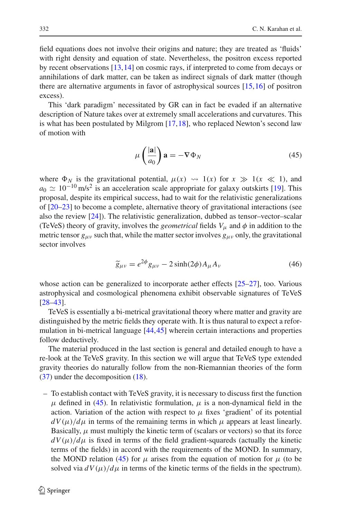field equations does not involve their origins and nature; they are treated as 'fluids' with right density and equation of state. Nevertheless, the positron excess reported by recent observations [\[13](#page-23-9)[,14](#page-23-10)] on cosmic rays, if interpreted to come from decays or annihilations of dark matter, can be taken as indirect signals of dark matter (though there are alternative arguments in favor of astrophysical sources [\[15,](#page-23-11)[16\]](#page-23-12) of positron excess).

This 'dark paradigm' necessitated by GR can in fact be evaded if an alternative description of Nature takes over at extremely small accelerations and curvatures. This is what has been postulated by Milgrom [\[17](#page-23-13)[,18](#page-23-14)], who replaced Newton's second law of motion with

$$
\mu\left(\frac{|\mathbf{a}|}{a_0}\right)\mathbf{a} = -\nabla\Phi_N\tag{45}
$$

<span id="page-13-0"></span>where  $\Phi_N$  is the gravitational potential,  $\mu(x) \rightsquigarrow 1(x)$  for  $x \gg 1(x \ll 1)$ , and  $a_0 \simeq 10^{-10}$  m/s<sup>2</sup> is an acceleration scale appropriate for galaxy outskirts [\[19\]](#page-23-15). This proposal, despite its empirical success, had to wait for the relativistic generalizations of [\[20](#page-23-16)[–23\]](#page-23-17) to become a complete, alternative theory of gravitational interactions (see also the review [\[24\]](#page-23-18)). The relativistic generalization, dubbed as tensor–vector–scalar (TeVeS) theory of gravity, involves the *geometrical* fields  $V_\mu$  and  $\phi$  in addition to the metric tensor  $g_{\mu\nu}$  such that, while the matter sector involves  $g_{\mu\nu}$  only, the gravitational sector involves

$$
\widetilde{g}_{\mu\nu} = e^{2\phi} g_{\mu\nu} - 2 \sinh(2\phi) A_{\mu} A_{\nu}
$$
\n(46)

whose action can be generalized to incorporate aether effects [\[25](#page-23-19)[–27](#page-23-20)], too. Various astrophysical and cosmological phenomena exhibit observable signatures of TeVeS [\[28](#page-23-21)[–43\]](#page-24-0).

TeVeS is essentially a bi-metrical gravitational theory where matter and gravity are distinguished by the metric fields they operate with. It is thus natural to expect a reformulation in bi-metrical language [\[44](#page-24-1)[,45](#page-24-2)] wherein certain interactions and properties follow deductively.

The material produced in the last section is general and detailed enough to have a re-look at the TeVeS gravity. In this section we will argue that TeVeS type extended gravity theories do naturally follow from the non-Riemannian theories of the form [\(37\)](#page-8-0) under the decomposition [\(18\)](#page-5-0).

– To establish contact with TeVeS gravity, it is necessary to discuss first the function μ defined in [\(45\)](#page-13-0). In relativistic formulation,  $\mu$  is a non-dynamical field in the action. Variation of the action with respect to  $\mu$  fixes 'gradient' of its potential  $dV(\mu)/d\mu$  in terms of the remaining terms in which  $\mu$  appears at least linearly. Basically,  $\mu$  must multiply the kinetic term of (scalars or vectors) so that its force  $dV(\mu)/d\mu$  is fixed in terms of the field gradient-squareds (actually the kinetic terms of the fields) in accord with the requirements of the MOND. In summary, the MOND relation [\(45\)](#page-13-0) for  $\mu$  arises from the equation of motion for  $\mu$  (to be solved via  $dV(\mu)/d\mu$  in terms of the kinetic terms of the fields in the spectrum).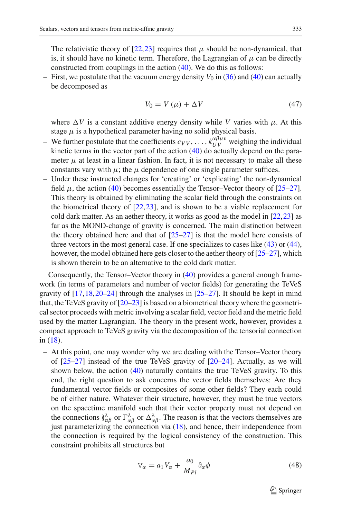The relativistic theory of  $[22,23]$  $[22,23]$  requires that  $\mu$  should be non-dynamical, that is, it should have no kinetic term. Therefore, the Lagrangian of  $\mu$  can be directly constructed from couplings in the action [\(40\)](#page-9-2). We do this as follows:

– First, we postulate that the vacuum energy density  $V_0$  in [\(36\)](#page-8-2) and [\(40\)](#page-9-2) can actually be decomposed as

$$
V_0 = V(\mu) + \Delta V \tag{47}
$$

where  $\Delta V$  is a constant additive energy density while *V* varies with  $\mu$ . At this stage  $\mu$  is a hypothetical parameter having no solid physical basis.

- We further postulate that the coefficients  $c_{VV}$ , ...,  $k_{UV}^{\alpha\beta\mu\nu}$  weighing the individual kinetic terms in the vector part of the action  $(40)$  do actually depend on the parameter  $\mu$  at least in a linear fashion. In fact, it is not necessary to make all these constants vary with  $\mu$ ; the  $\mu$  dependence of one single parameter suffices.
- Under these instructed changes for 'creating' or 'explicating' the non-dynamical field  $\mu$ , the action [\(40\)](#page-9-2) becomes essentially the Tensor–Vector theory of [\[25](#page-23-19)[–27](#page-23-20)]. This theory is obtained by eliminating the scalar field through the constraints on the biometrical theory of [\[22](#page-23-22),[23\]](#page-23-17), and is shown to be a viable replacement for cold dark matter. As an aether theory, it works as good as the model in  $[22,23]$  $[22,23]$  $[22,23]$  as far as the MOND-change of gravity is concerned. The main distinction between the theory obtained here and that of  $[25-27]$  $[25-27]$  is that the model here consists of three vectors in the most general case. If one specializes to cases like [\(43\)](#page-11-0) or [\(44\)](#page-12-1), however, the model obtained here gets closer to the aether theory of [\[25](#page-23-19)[–27](#page-23-20)], which is shown therein to be an alternative to the cold dark matter.

Consequently, the Tensor–Vector theory in [\(40\)](#page-9-2) provides a general enough framework (in terms of parameters and number of vector fields) for generating the TeVeS gravity of  $[17,18,20-24]$  $[17,18,20-24]$  $[17,18,20-24]$  $[17,18,20-24]$  $[17,18,20-24]$  through the analyses in  $[25-27]$  $[25-27]$ . It should be kept in mind that, the TeVeS gravity of [\[20](#page-23-16)[–23](#page-23-17)] is based on a biometrical theory where the geometrical sector proceeds with metric involving a scalar field, vector field and the metric field used by the matter Lagrangian. The theory in the present work, however, provides a compact approach to TeVeS gravity via the decomposition of the tensorial connection in [\(18\)](#page-5-0).

– At this point, one may wonder why we are dealing with the Tensor–Vector theory of  $[25-27]$  $[25-27]$  instead of the true TeVeS gravity of  $[20-24]$  $[20-24]$ . Actually, as we will shown below, the action [\(40\)](#page-9-2) naturally contains the true TeVeS gravity. To this end, the right question to ask concerns the vector fields themselves: Are they fundamental vector fields or composites of some other fields? They each could be of either nature. Whatever their structure, however, they must be true vectors on the spacetime manifold such that their vector property must not depend on the connections  $\oint_{\alpha\beta}^{\lambda}$  or  $\Gamma_{\alpha\beta}^{\lambda}$  or  $\Delta_{\alpha\beta}^{\lambda}$ . The reason is that the vectors themselves are just parameterizing the connection via [\(18\)](#page-5-0), and hence, their independence from the connection is required by the logical consistency of the construction. This constraint prohibits all structures but

<span id="page-14-0"></span>
$$
V_{\alpha} = a_1 V_{\alpha} + \frac{a_0}{M_{Pl}} \partial_{\alpha} \phi \tag{48}
$$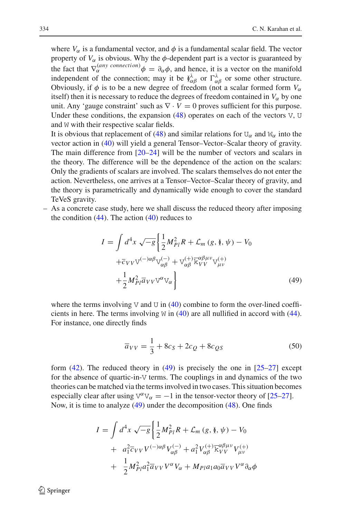where  $V_\alpha$  is a fundamental vector, and  $\phi$  is a fundamental scalar field. The vector property of  $V_\alpha$  is obvious. Why the  $\phi$ -dependent part is a vector is guaranteed by the fact that  $\nabla_{\alpha}^{(any\ connection)} \phi = \partial_{\alpha} \phi$ , and hence, it is a vector on the manifold independent of the connection; may it be  $\phi^{\lambda}_{\alpha\beta}$  or  $\Gamma^{\lambda}_{\alpha\beta}$  or some other structure. Obviously, if  $\phi$  is to be a new degree of freedom (not a scalar formed form  $V_\alpha$ itself) then it is necessary to reduce the degrees of freedom contained in  $V_\alpha$  by one unit. Any 'gauge constraint' such as  $\nabla \cdot V = 0$  proves sufficient for this purpose. Under these conditions, the expansion  $(48)$  operates on each of the vectors V, U and W with their respective scalar fields.

It is obvious that replacement of [\(48\)](#page-14-0) and similar relations for  $U_{\alpha}$  and  $W_{\alpha}$  into the vector action in [\(40\)](#page-9-2) will yield a general Tensor–Vector–Scalar theory of gravity. The main difference from  $[20-24]$  $[20-24]$  will be the number of vectors and scalars in the theory. The difference will be the dependence of the action on the scalars: Only the gradients of scalars are involved. The scalars themselves do not enter the action. Nevertheless, one arrives at a Tensor–Vector–Scalar theory of gravity, and the theory is parametrically and dynamically wide enough to cover the standard TeVeS gravity.

<span id="page-15-0"></span>– As a concrete case study, here we shall discuss the reduced theory after imposing the condition  $(44)$ . The action  $(40)$  reduces to

$$
I = \int d^4x \sqrt{-g} \left\{ \frac{1}{2} M_{Pl}^2 R + \mathcal{L}_m (g, \check{\mathbf{y}}, \psi) - V_0 \right. \left. + \bar{c}_{VV} V^{(-)\alpha\beta} V_{\alpha\beta}^{(-)} + V_{\alpha\beta}^{(+)} \bar{K}_{VV}^{\alpha\beta\mu\nu} V_{\mu\nu}^{(+)} \right. \left. + \frac{1}{2} M_{Pl}^2 \bar{a}_{VV} V^{\alpha} V_{\alpha} \right\}
$$
\n(49)

where the terms involving V and U in  $(40)$  combine to form the over-lined coefficients in here. The terms involving  $W$  in [\(40\)](#page-9-2) are all nullified in accord with [\(44\)](#page-12-1). For instance, one directly finds

$$
\overline{a}_{VV} = \frac{1}{3} + 8c_S + 2c_Q + 8c_{QS}
$$
 (50)

form  $(42)$ . The reduced theory in  $(49)$  is precisely the one in  $[25-27]$  $[25-27]$  except for the absence of quartic-in-V terms. The couplings in and dynamics of the two theories can be matched via the terms involved in two cases. This situation becomes especially clear after using  $V^{\alpha}V_{\alpha} = -1$  in the tensor-vector theory of [\[25](#page-23-19)[–27](#page-23-20)]. Now, it is time to analyze [\(49\)](#page-15-0) under the decomposition [\(48\)](#page-14-0). One finds

<span id="page-15-1"></span>
$$
I = \int d^4x \sqrt{-g} \left\{ \frac{1}{2} M_{Pl}^2 R + \mathcal{L}_m (g, \hat{\mathbf{y}}, \psi) - V_0 \right. \\ + \left. a_1^2 \overline{c}_{VV} V^{(-)\alpha\beta} V_{\alpha\beta}^{(-)} + a_1^2 V_{\alpha\beta}^{(+)} \overline{k}_{VV}^{\alpha\beta\mu\nu} V_{\mu\nu}^{(+)} \right. \\ + \left. \frac{1}{2} M_{Pl}^2 a_1^2 \overline{a}_{VV} V^{\alpha} V_{\alpha} + M_{Pl} a_1 a_0 \overline{a}_{VV} V^{\alpha} \partial_{\alpha} \phi \right\}
$$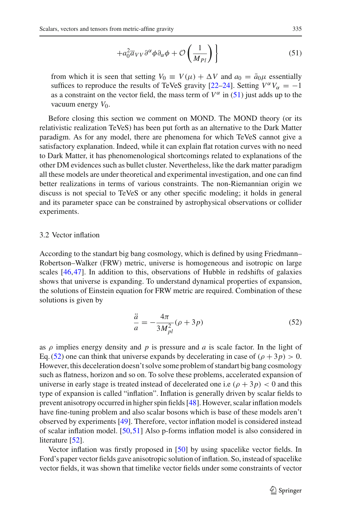$$
+a_0^2 \overline{a}_{VV} \partial^{\alpha} \phi \partial_{\alpha} \phi + \mathcal{O}\left(\frac{1}{M_{Pl}}\right) \Bigg\}
$$
 (51)

from which it is seen that setting  $V_0 \equiv V(\mu) + \Delta V$  and  $a_0 = \bar{a}_0 \mu$  essentially suffices to reproduce the results of TeVeS gravity  $[22-24]$  $[22-24]$ . Setting  $V^{\alpha}V_{\alpha} = -1$ as a constraint on the vector field, the mass term of  $V^{\alpha}$  in [\(51\)](#page-15-1) just adds up to the vacuum energy  $V_0$ .

Before closing this section we comment on MOND. The MOND theory (or its relativistic realization TeVeS) has been put forth as an alternative to the Dark Matter paradigm. As for any model, there are phenomena for which TeVeS cannot give a satisfactory explanation. Indeed, while it can explain flat rotation curves with no need to Dark Matter, it has phenomenological shortcomings related to explanations of the other DM evidences such as bullet cluster. Nevertheless, like the dark matter paradigm all these models are under theoretical and experimental investigation, and one can find better realizations in terms of various constraints. The non-Riemannian origin we discuss is not special to TeVeS or any other specific modeling; it holds in general and its parameter space can be constrained by astrophysical observations or collider experiments.

#### 3.2 Vector inflation

According to the standart big bang cosmology, which is defined by using Friedmann– Robertson–Walker (FRW) metric, universe is homogeneous and isotropic on large scales [\[46,](#page-24-3)[47\]](#page-24-4). In addition to this, observations of Hubble in redshifts of galaxies shows that universe is expanding. To understand dynamical properties of expansion, the solutions of Einstein equation for FRW metric are required. Combination of these solutions is given by

$$
\frac{\ddot{a}}{a} = -\frac{4\pi}{3M_{pl}^2}(\rho + 3p) \tag{52}
$$

<span id="page-16-0"></span>as  $\rho$  implies energy density and  $p$  is pressure and  $a$  is scale factor. In the light of Eq. [\(52\)](#page-16-0) one can think that universe expands by decelerating in case of  $(\rho + 3p) > 0$ . However, this deceleration doesn't solve some problem of standart big bang cosmology such as flatness, horizon and so on. To solve these problems, accelerated expansion of universe in early stage is treated instead of decelerated one i.e ( $\rho + 3p$ ) < 0 and this type of expansion is called "inflation". Inflation is generally driven by scalar fields to prevent anisotropy occurred in higher spin fields [\[48\]](#page-24-5). However, scalar inflation models have fine-tuning problem and also scalar bosons which is base of these models aren't observed by experiments [\[49\]](#page-24-6). Therefore, vector inflation model is considered instead of scalar inflation model. [\[50](#page-24-7),[51](#page-24-8)] Also p-forms inflation model is also considered in literature [\[52](#page-24-9)].

Vector inflation was firstly proposed in [\[50](#page-24-7)] by using spacelike vector fields. In Ford's paper vector fields gave anisotropic solution of inflation. So, instead of spacelike vector fields, it was shown that timelike vector fields under some constraints of vector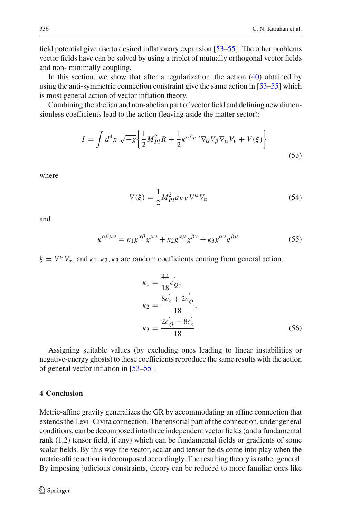field potential give rise to desired inflationary expansion [\[53](#page-24-10)[–55\]](#page-24-11). The other problems vector fields have can be solved by using a triplet of mutually orthogonal vector fields and non- minimally coupling.

In this section, we show that after a regularization , the action  $(40)$  obtained by using the anti-symmetric connection constraint give the same action in [\[53](#page-24-10)[–55](#page-24-11)] which is most general action of vector inflation theory.

Combining the abelian and non-abelian part of vector field and defining new dimensionless coefficients lead to the action (leaving aside the matter sector):

$$
I = \int d^4x \sqrt{-g} \left\{ \frac{1}{2} M_{Pl}^2 R + \frac{1}{2} \kappa^{\alpha \beta \mu \nu} \nabla_\alpha V_\beta \nabla_\mu V_\nu + V(\xi) \right\}
$$
(53)

where

$$
V(\xi) = \frac{1}{2} M_{Pl}^2 \overline{a}_{VV} V^{\alpha} V_{\alpha}
$$
 (54)

and

$$
\kappa^{\alpha\beta\mu\nu} = \kappa_1 g^{\alpha\beta} g^{\mu\nu} + \kappa_2 g^{\alpha\mu} g^{\beta\nu} + \kappa_3 g^{\alpha\nu} g^{\beta\mu} \tag{55}
$$

 $\xi = V^{\alpha}V_{\alpha}$ , and  $\kappa_1, \kappa_2, \kappa_3$  are random coefficients coming from general action.

$$
\kappa_1 = \frac{44}{18} c'_Q,
$$
  
\n
$$
\kappa_2 = \frac{8c'_s + 2c'_Q}{18},
$$
  
\n
$$
\kappa_3 = \frac{2c'_Q - 8c'_s}{18}
$$
\n(56)

Assigning suitable values (by excluding ones leading to linear instabilities or negative-energy ghosts) to these coefficients reproduce the same results with the action of general vector inflation in [\[53](#page-24-10)[–55\]](#page-24-11).

# <span id="page-17-0"></span>**4 Conclusion**

Metric-affine gravity generalizes the GR by accommodating an affine connection that extends the Levi–Civita connection. The tensorial part of the connection, under general conditions, can be decomposed into three independent vector fields (and a fundamental rank (1,2) tensor field, if any) which can be fundamental fields or gradients of some scalar fields. By this way the vector, scalar and tensor fields come into play when the metric-affine action is decomposed accordingly. The resulting theory is rather general. By imposing judicious constraints, theory can be reduced to more familiar ones like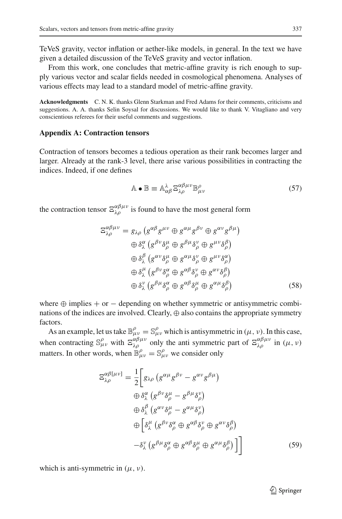TeVeS gravity, vector inflation or aether-like models, in general. In the text we have given a detailed discussion of the TeVeS gravity and vector inflation.

From this work, one concludes that metric-affine gravity is rich enough to supply various vector and scalar fields needed in cosmological phenomena. Analyses of various effects may lead to a standard model of metric-affine gravity.

**Acknowledgments** C. N. K. thanks Glenn Starkman and Fred Adams for their comments, criticisms and suggestions. A. A. thanks Selin Soysal for discussions. We would like to thank V. Vitagliano and very conscientious referees for their useful comments and suggestions.

## **Appendix A: Contraction tensors**

Contraction of tensors becomes a tedious operation as their rank becomes larger and larger. Already at the rank-3 level, there arise various possibilities in contracting the indices. Indeed, if one defines

$$
\mathbb{A} \bullet \mathbb{B} \equiv \mathbb{A}^{\lambda}_{\alpha\beta} \, \mathbb{E}^{\alpha\beta\mu\nu}_{\lambda\rho} \mathbb{B}^{\rho}_{\mu\nu} \tag{57}
$$

<span id="page-18-0"></span>the contraction tensor  $\Xi_{\lambda\rho}^{\alpha\beta\mu\nu}$  is found to have the most general form

$$
\Xi_{\lambda\rho}^{\alpha\beta\mu\nu} = g_{\lambda\rho} \left( g^{\alpha\beta} g^{\mu\nu} \oplus g^{\alpha\mu} g^{\beta\nu} \oplus g^{\alpha\nu} g^{\beta\mu} \right) \n\oplus \delta_{\lambda}^{\alpha} \left( g^{\beta\nu} \delta_{\rho}^{\mu} \oplus g^{\beta\mu} \delta_{\rho}^{\nu} \oplus g^{\mu\nu} \delta_{\rho}^{\beta} \right) \n\oplus \delta_{\lambda}^{\beta} \left( g^{\alpha\nu} \delta_{\rho}^{\mu} \oplus g^{\alpha\mu} \delta_{\rho}^{\nu} \oplus g^{\mu\nu} \delta_{\rho}^{\alpha} \right) \n\oplus \delta_{\lambda}^{\mu} \left( g^{\beta\nu} \delta_{\rho}^{\alpha} \oplus g^{\alpha\beta} \delta_{\rho}^{\nu} \oplus g^{\alpha\nu} \delta_{\rho}^{\beta} \right) \n\oplus \delta_{\lambda}^{\nu} \left( g^{\beta\mu} \delta_{\rho}^{\alpha} \oplus g^{\alpha\beta} \delta_{\rho}^{\mu} \oplus g^{\alpha\mu} \delta_{\rho}^{\beta} \right)
$$
\n(58)

where  $\oplus$  implies + or  $-$  depending on whether symmetric or antisymmetric combinations of the indices are involved. Clearly,  $\oplus$  also contains the appropriate symmetry factors.

<span id="page-18-1"></span>As an example, let us take  $\mathbb{B}_{\mu\nu}^{\rho} = \mathbb{S}_{\mu\nu}^{\rho}$  which is antisymmetric in  $(\mu, \nu)$ . In this case, when contracting  $\mathbb{S}_{\mu\nu}^{\rho}$  with  $\mathbb{E}_{\lambda\rho}^{\alpha\beta\mu\nu}$  only the anti-symmetric part of  $\mathbb{E}_{\lambda\rho}^{\alpha\beta\mu\nu}$  in  $(\mu, \nu)$ matters. In other words, when  $\mathbb{B}_{\mu\nu}^{\rho} = \mathbb{S}_{\mu\nu}^{\rho}$  we consider only

$$
\Xi_{\lambda\rho}^{\alpha\beta[\mu\nu]} = \frac{1}{2} \Bigg[ g_{\lambda\rho} \left( g^{\alpha\mu} g^{\beta\nu} - g^{\alpha\nu} g^{\beta\mu} \right) \n\oplus \delta_{\lambda}^{\alpha} \left( g^{\beta\nu} \delta_{\rho}^{\mu} - g^{\beta\mu} \delta_{\rho}^{\nu} \right) \n\oplus \delta_{\lambda}^{\beta} \left( g^{\alpha\nu} \delta_{\rho}^{\mu} - g^{\alpha\mu} \delta_{\rho}^{\nu} \right) \n\oplus \Big[ \delta_{\lambda}^{\mu} \left( g^{\beta\nu} \delta_{\rho}^{\alpha} \oplus g^{\alpha\beta} \delta_{\rho}^{\nu} \oplus g^{\alpha\nu} \delta_{\rho}^{\beta} \right) \n- \delta_{\lambda}^{\nu} \left( g^{\beta\mu} \delta_{\rho}^{\alpha} \oplus g^{\alpha\beta} \delta_{\rho}^{\mu} \oplus g^{\alpha\mu} \delta_{\rho}^{\beta} \right) \Bigg]
$$
\n(59)

which is anti-symmetric in  $(\mu, \nu)$ .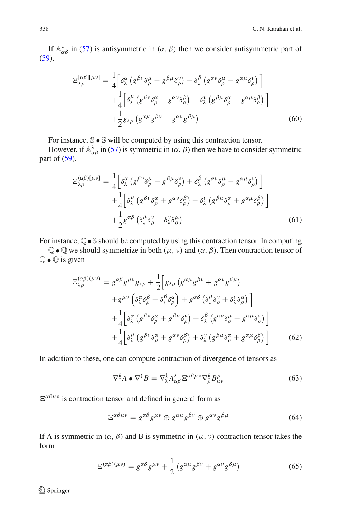If  $A^{\lambda}_{\alpha\beta}$  in [\(57\)](#page-18-0) is antisymmetric in  $(\alpha, \beta)$  then we consider antisymmetric part of [\(59\)](#page-18-1).

$$
\Xi_{\lambda\rho}^{[\alpha\beta][\mu\nu]} = \frac{1}{4} \Big[ \delta^{\alpha}_{\lambda} \left( g^{\beta\nu} \delta^{\mu}_{\rho} - g^{\beta\mu} \delta^{\nu}_{\rho} \right) - \delta^{\beta}_{\lambda} \left( g^{\alpha\nu} \delta^{\mu}_{\rho} - g^{\alpha\mu} \delta^{\nu}_{\rho} \right) \Big] + \frac{1}{4} \Big[ \delta^{\mu}_{\lambda} \left( g^{\beta\nu} \delta^{\alpha}_{\rho} - g^{\alpha\nu} \delta^{\beta}_{\rho} \right) - \delta^{\nu}_{\lambda} \left( g^{\beta\mu} \delta^{\alpha}_{\rho} - g^{\alpha\mu} \delta^{\beta}_{\rho} \right) \Big] + \frac{1}{2} g_{\lambda\rho} \left( g^{\alpha\mu} g^{\beta\nu} - g^{\alpha\nu} g^{\beta\mu} \right)
$$
(60)

For instance,  $\mathbb{S} \cdot \mathbb{S}$  will be computed by using this contraction tensor.

However, if  $\mathbb{A}^{\lambda}_{\alpha\beta}$  in [\(57\)](#page-18-0) is symmetric in  $(\alpha, \beta)$  then we have to consider symmetric part of  $(59)$ .

$$
\Xi_{\lambda\rho}^{(\alpha\beta)[\mu\nu]} = \frac{1}{4} \Big[ \delta^{\alpha}_{\lambda} \left( g^{\beta\nu} \delta^{\mu}_{\rho} - g^{\beta\mu} \delta^{\nu}_{\rho} \right) + \delta^{\beta}_{\lambda} \left( g^{\alpha\nu} \delta^{\mu}_{\rho} - g^{\alpha\mu} \delta^{\nu}_{\rho} \right) \Big] + \frac{1}{4} \Big[ \delta^{\mu}_{\lambda} \left( g^{\beta\nu} \delta^{\alpha}_{\rho} + g^{\alpha\nu} \delta^{\beta}_{\rho} \right) - \delta^{\nu}_{\lambda} \left( g^{\beta\mu} \delta^{\alpha}_{\rho} + g^{\alpha\mu} \delta^{\beta}_{\rho} \right) \Big] + \frac{1}{2} g^{\alpha\beta} \left( \delta^{\mu}_{\lambda} \delta^{\nu}_{\rho} - \delta^{\nu}_{\lambda} \delta^{\mu}_{\rho} \right)
$$
(61)

For instance, Q•S should be computed by using this contraction tensor. In computing

 $\mathbb{Q} \bullet \mathbb{Q}$  we should symmetrize in both  $(\mu, \nu)$  and  $(\alpha, \beta)$ . Then contraction tensor of  $\mathbb{Q} \bullet \mathbb{Q}$  is given

$$
\Xi_{\lambda\rho}^{(\alpha\beta)(\mu\nu)} = g^{\alpha\beta} g^{\mu\nu} g_{\lambda\rho} + \frac{1}{2} \Big[ g_{\lambda\rho} \left( g^{\alpha\mu} g^{\beta\nu} + g^{\alpha\nu} g^{\beta\mu} \right) \n+ g^{\mu\nu} \left( \delta^{\alpha}_{\lambda} \delta^{\beta}_{\rho} + \delta^{\beta}_{\lambda} \delta^{\alpha}_{\rho} \right) + g^{\alpha\beta} \left( \delta^{\mu}_{\lambda} \delta^{\nu}_{\rho} + \delta^{\nu}_{\lambda} \delta^{\mu}_{\rho} \right) \Big] \n+ \frac{1}{4} \Big[ \delta^{\alpha}_{\lambda} \left( g^{\beta\nu} \delta^{\mu}_{\rho} + g^{\beta\mu} \delta^{\nu}_{\rho} \right) + \delta^{\beta}_{\lambda} \left( g^{\alpha\nu} \delta^{\mu}_{\rho} + g^{\alpha\mu} \delta^{\nu}_{\rho} \right) \Big] \n+ \frac{1}{4} \Big[ \delta^{\mu}_{\lambda} \left( g^{\beta\nu} \delta^{\alpha}_{\rho} + g^{\alpha\nu} \delta^{\beta}_{\rho} \right) + \delta^{\nu}_{\lambda} \left( g^{\beta\mu} \delta^{\alpha}_{\rho} + g^{\alpha\mu} \delta^{\beta}_{\rho} \right) \Big] \tag{62}
$$

In addition to these, one can compute contraction of divergence of tensors as

$$
\nabla^{\check{\theta}} A \bullet \nabla^{\check{\theta}} B = \nabla^{\check{\theta}}_{\lambda} A^{\lambda}_{\alpha\beta} \, \Xi^{\alpha\beta\mu\nu} \nabla^{\check{\theta}}_{\rho} B^{\rho}_{\mu\nu} \tag{63}
$$

 $E^{\alpha\beta\mu\nu}$  is contraction tensor and defined in general form as

$$
\Xi^{\alpha\beta\mu\nu} = g^{\alpha\beta}g^{\mu\nu} \oplus g^{\alpha\mu}g^{\beta\nu} \oplus g^{\alpha\nu}g^{\beta\mu} \tag{64}
$$

If A is symmetric in  $(\alpha, \beta)$  and B is symmetric in  $(\mu, \nu)$  contraction tensor takes the form

$$
\Xi^{(\alpha\beta)(\mu\nu)} = g^{\alpha\beta}g^{\mu\nu} + \frac{1}{2}\left(g^{\alpha\mu}g^{\beta\nu} + g^{\alpha\nu}g^{\beta\mu}\right)
$$
(65)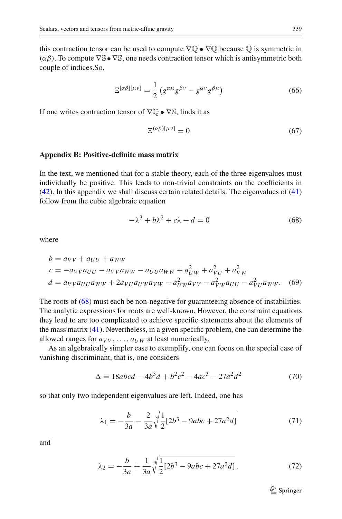this contraction tensor can be used to compute  $\nabla \mathbb{Q} \cdot \nabla \mathbb{Q}$  because  $\mathbb{Q}$  is symmetric in  $(\alpha\beta)$ . To compute  $\nabla$ S •  $\nabla$ S, one needs contraction tensor which is antisymmetric both couple of indices.So,

$$
\Xi^{[\alpha\beta][\mu\nu]} = \frac{1}{2} \left( g^{\alpha\mu} g^{\beta\nu} - g^{\alpha\nu} g^{\beta\mu} \right) \tag{66}
$$

If one writes contraction tensor of  $\nabla$  $\mathbb{Q}$  •  $\nabla$ S, finds it as

$$
\Xi^{(\alpha\beta)[\mu\nu]} = 0\tag{67}
$$

#### **Appendix B: Positive-definite mass matrix**

In the text, we mentioned that for a stable theory, each of the three eigenvalues must individually be positive. This leads to non-trivial constraints on the coefficients in [\(42\)](#page-10-1). In this appendix we shall discuss certain related details. The eigenvalues of [\(41\)](#page-10-0) follow from the cubic algebraic equation

$$
-\lambda^3 + b\lambda^2 + c\lambda + d = 0\tag{68}
$$

<span id="page-20-0"></span>where

$$
b = a_{VV} + a_{UU} + a_{WW}
$$
  
\n
$$
c = -a_{VV}a_{UU} - a_{VV}a_{WW} - a_{UU}a_{WW} + a_{UW}^2 + a_{VU}^2 + a_{VW}^2
$$
  
\n
$$
d = a_{VV}a_{UU}a_{WW} + 2a_{VU}a_{UW}a_{VW} - a_{UW}^2a_{VV} - a_{VW}^2a_{UU} - a_{VU}^2a_{WW}.
$$
 (69)

The roots of [\(68\)](#page-20-0) must each be non-negative for guaranteeing absence of instabilities. The analytic expressions for roots are well-known. However, the constraint equations they lead to are too complicated to achieve specific statements about the elements of the mass matrix [\(41\)](#page-10-0). Nevertheless, in a given specific problem, one can determine the allowed ranges for  $a_{VV}$ , ...,  $a_{UW}$  at least numerically,

As an algebraically simpler case to exemplify, one can focus on the special case of vanishing discriminant, that is, one considers

$$
\Delta = 18abcd - 4b^3d + b^2c^2 - 4ac^3 - 27a^2d^2 \tag{70}
$$

so that only two independent eigenvalues are left. Indeed, one has

$$
\lambda_1 = -\frac{b}{3a} - \frac{2}{3a} \sqrt[3]{\frac{1}{2} [2b^3 - 9abc + 27a^2 d]}
$$
\n(71)

and

$$
\lambda_2 = -\frac{b}{3a} + \frac{1}{3a} \sqrt[3]{\frac{1}{2} [2b^3 - 9abc + 27a^2 d]}.
$$
 (72)

 $\mathcal{D}$  Springer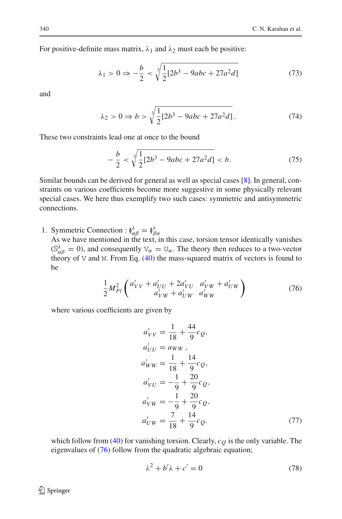For positive-definite mass matrix,  $\lambda_1$  and  $\lambda_2$  must each be positive:

$$
\lambda_1 > 0 \Rightarrow -\frac{b}{2} < \sqrt[3]{\frac{1}{2} [2b^3 - 9abc + 27a^2d]}
$$
 (73)

and

$$
\lambda_2 > 0 \Rightarrow b > \sqrt[3]{\frac{1}{2}[2b^3 - 9abc + 27a^2d]}.
$$
 (74)

These two constraints lead one at once to the bound

$$
-\frac{b}{2} < \sqrt[3]{\frac{1}{2}[2b^3 - 9abc + 27a^2d]} < b. \tag{75}
$$

Similar bounds can be derived for general as well as special cases [\[8](#page-23-4)]. In general, constraints on various coefficients become more suggestive in some physically relevant special cases. We here thus exemplify two such cases: symmetric and antisymmetric connections.

1. Symmetric Connection :  $\check{\theta}^{\lambda}_{\alpha\beta} = \check{\theta}^{\lambda}_{\beta\alpha}$ 

As we have mentioned in the text, in this case, torsion tensor identically vanishes  $(S^{\lambda}_{\alpha\beta} = 0)$ , and consequently  $V_{\alpha} = U_{\alpha}$ . The theory then reduces to a two-vector theory of  $\nabla$  and  $\nabla$ . From Eq. [\(40\)](#page-9-2) the mass-squared matrix of vectors is found to be

$$
\frac{1}{2}M_{Pl}^2 \left( \begin{array}{c} a'_{VV} + a'_{UU} + 2a'_{VU} & a'_{VW} + a'_{UW} \\ a'_{VW} + a'_{UW} & a'_{WW} \end{array} \right) \tag{76}
$$

<span id="page-21-0"></span>where various coefficients are given by

$$
a'_{VV} = \frac{1}{18} + \frac{44}{9}c_Q,
$$
  
\n
$$
a'_{UU} = a_{WW},
$$
  
\n
$$
a'_{WW} = \frac{1}{18} + \frac{14}{9}c_Q,
$$
  
\n
$$
a'_{VU} = -\frac{1}{9} + \frac{20}{9}c_Q,
$$
  
\n
$$
a'_{VW} = -\frac{1}{9} + \frac{20}{9}c_Q,
$$
  
\n
$$
a'_{UW} = \frac{7}{18} + \frac{14}{9}c_Q.
$$
\n(77)

<span id="page-21-1"></span>which follow from [\(40\)](#page-9-2) for vanishing torsion. Clearly,  $c<sub>O</sub>$  is the only variable. The eigenvalues of [\(76\)](#page-21-0) follow from the quadratic algebraic equation;

$$
\lambda^2 + b'\lambda + c' = 0\tag{78}
$$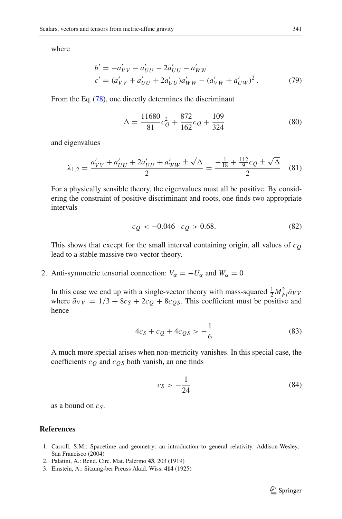where

$$
b' = -a'_{VV} - a'_{UU} - 2a'_{UU} - a'_{WW}
$$
  
\n
$$
c' = (a'_{VV} + a'_{UU} + 2a'_{UU})a'_{WW} - (a'_{VW} + a'_{UW})^2.
$$
 (79)

From the Eq. [\(78\)](#page-21-1), one directly determines the discriminant

$$
\Delta = \frac{11680}{81}c_Q^2 + \frac{872}{162}c_Q + \frac{109}{324}
$$
 (80)

and eigenvalues

$$
\lambda_{1,2} = \frac{a'_{VV} + a'_{UU} + 2a'_{UU} + a'_{WW} \pm \sqrt{\Delta}}{2} = \frac{-\frac{1}{18} + \frac{112}{9}c_Q \pm \sqrt{\Delta}}{2}
$$
 (81)

For a physically sensible theory, the eigenvalues must all be positive. By considering the constraint of positive discriminant and roots, one finds two appropriate intervals

$$
c_Q < -0.046 \quad c_Q > 0.68. \tag{82}
$$

This shows that except for the small interval containing origin, all values of  $c<sub>O</sub>$ lead to a stable massive two-vector theory.

2. Anti-symmetric tensorial connection:  $V_\alpha = -U_\alpha$  and  $W_\alpha = 0$ 

In this case we end up with a single-vector theory with mass-squared  $\frac{1}{2}M_{Pl}^2 \bar{a}_{VV}$ where  $\bar{a}_{VV} = 1/3 + 8c_S + 2c_O + 8c_Os$ . This coefficient must be positive and hence

$$
4c_S + c_Q + 4c_{QS} > -\frac{1}{6}
$$
 (83)

A much more special arises when non-metricity vanishes. In this special case, the coefficients *cQ* and *cQS* both vanish, an one finds

$$
c_S > -\frac{1}{24} \tag{84}
$$

as a bound on *c<sub>S</sub>*.

# **References**

- <span id="page-22-0"></span>1. Carroll, S.M.: Spacetime and geometry: an introduction to general relativity. Addison-Wesley, San Francisco (2004)
- <span id="page-22-1"></span>2. Palatini, A.: Rend. Circ. Mat. Palermo **43**, 203 (1919)
- <span id="page-22-2"></span>3. Einstein, A.: Sitzung-ber Preuss Akad. Wiss. **414** (1925)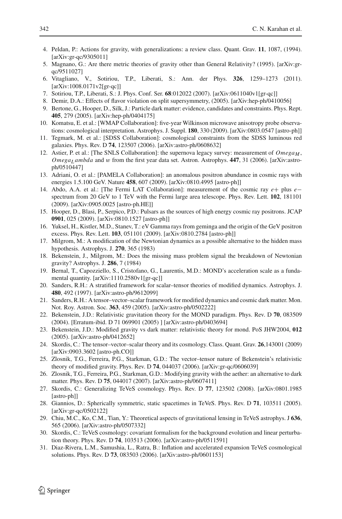- <span id="page-23-0"></span>4. Peldan, P.: Actions for gravity, with generalizations: a review class. Quant. Grav. **11**, 1087, (1994). [arXiv:gr-qc/9305011]
- <span id="page-23-1"></span>5. Magnano, G.: Are there metric theories of gravity other than General Relativity? (1995). [arXiv:grqc/9511027]
- <span id="page-23-2"></span>6. Vitagliano, V., Sotiriou, T.P., Liberati, S.: Ann. der Phys. **326**, 1259–1273 (2011). [arXiv:1008.0171v2[gr-qc]]
- <span id="page-23-3"></span>7. Sotiriou, T.P., Liberati, S.: J. Phys. Conf. Ser. **68**:012022 (2007). [arXiv:0611040v1[gr-qc]]
- <span id="page-23-4"></span>8. Demir, D.A.: Effects of flavor violation on split supersymmetry, (2005). [arXiv:hep-ph/0410056]
- <span id="page-23-5"></span>9. Bertone, G., Hooper, D., Silk, J.: Particle dark matter: evidence, candidates and constraints. Phys. Rept. **405**, 279 (2005). [arXiv:hep-ph/0404175]
- <span id="page-23-6"></span>10. Komatsu, E. et al.: [WMAP Collaboration]: five-year Wilkinson microwave anisotropy probe observations: cosmological interpretation. Astrophys. J. Suppl. **180**, 330 (2009). [arXiv:0803.0547 [astro-ph]]
- <span id="page-23-7"></span>11. Tegmark, M. et al.: [SDSS Collaboration]: cosmological constraints from the SDSS luminous red galaxies. Phys. Rev. D **74**, 123507 (2006). [arXiv:astro-ph/0608632]
- <span id="page-23-8"></span>12. Astier, P. et al.: [The SNLS Collaboration]: the supernova legacy survey: measurement of  $Omega_M$ , *Omega<sub>L</sub>ambda* and w from the first year data set. Astron. Astrophys. 447, 31 (2006). [arXiv:astroph/0510447]
- <span id="page-23-9"></span>13. Adriani, O. et al.: [PAMELA Collaboration]: an anomalous positron abundance in cosmic rays with energies 1.5.100 GeV. Nature **458**, 607 (2009). [arXiv:0810.4995 [astro-ph]]
- <span id="page-23-10"></span>14. Abdo, A.A. et al.: [The Fermi LAT Collaboration]: measurement of the cosmic ray *e*+ plus *e*− spectrum from 20 GeV to 1 TeV with the Fermi large area telescope. Phys. Rev. Lett. **102**, 181101 (2009). [arXiv:0905.0025 [astro-ph.HE]]
- <span id="page-23-11"></span>15. Hooper, D., Blasi, P., Serpico, P.D.: Pulsars as the sources of high energy cosmic ray positrons. JCAP **0901**, 025 (2009). [arXiv:0810.1527 [astro-ph]]
- <span id="page-23-12"></span>16. Yuksel, H., Kistler, M.D., Stanev, T.: eV Gamma rays from geminga and the origin of the GeV positron excess. Phys. Rev. Lett. **103**, 051101 (2009). [arXiv:0810.2784 [astro-ph]]
- <span id="page-23-13"></span>17. Milgrom, M.: A modification of the Newtonian dynamics as a possible alternative to the hidden mass hypothesis. Astrophys. J. **270**, 365 (1983)
- <span id="page-23-14"></span>18. Bekenstein, J., Milgrom, M.: Does the missing mass problem signal the breakdown of Newtonian gravity? Astrophys. J. **286**, 7 (1984)
- <span id="page-23-15"></span>19. Bernal, T., Capozziello, S., Cristofano, G., Laurentis, M.D.: MOND's acceleration scale as a fundamental quantity. [arXiv:1110.2580v1[gr-qc]]
- <span id="page-23-16"></span>20. Sanders, R.H.: A stratified framework for scalar–tensor theories of modified dynamics. Astrophys. J. **480**, 492 (1997). [arXiv:astro-ph/9612099]
- 21. Sanders, R.H.: A tensor–vector–scalar framework for modified dynamics and cosmic dark matter. Mon. Not. Roy. Astron. Soc. **363**, 459 (2005). [arXiv:astro-ph/0502222]
- <span id="page-23-22"></span>22. Bekenstein, J.D.: Relativistic gravitation theory for the MOND paradigm. Phys. Rev. D **70**, 083509 (2004). [Erratum-ibid. D 71 069901 (2005) ] [arXiv:astro-ph/0403694]
- <span id="page-23-17"></span>23. Bekenstein, J.D.: Modified gravity vs dark matter: relativistic theory for mond. PoS JHW2004, **012** (2005). [arXiv:astro-ph/0412652]
- <span id="page-23-18"></span>24. Skordis, C.: The tensor–vector–scalar theory and its cosmology. Class. Quant. Grav. **26**,143001 (2009) [arXiv:0903.3602 [astro-ph.CO]]
- <span id="page-23-19"></span>25. Zlosnik, T.G., Ferreira, P.G., Starkman, G.D.: The vector–tensor nature of Bekenstein's relativistic theory of modified gravity. Phys. Rev. D **74**, 044037 (2006). [arXiv:gr-qc/0606039]
- 26. Zlosnik, T.G., Ferreira, P.G., Starkman, G.D.: Modifying gravity with the aether: an alternative to dark matter. Phys. Rev. D **75**, 044017 (2007). [arXiv:astro-ph/0607411]
- <span id="page-23-20"></span>27. Skordis, C.: Generalizing TeVeS cosmology. Phys. Rev. D **77**, 123502 (2008). [arXiv:0801.1985 [astro-ph]]
- <span id="page-23-21"></span>28. Giannios, D.: Spherically symmetric, static spacetimes in TeVeS. Phys. Rev. D **71**, 103511 (2005). [arXiv:gr-qc/0502122]
- 29. Chiu, M.C., Ko, C.M., Tian, Y.: Theoretical aspects of gravitational lensing in TeVeS astrophys. J **636**, 565 (2006). [arXiv:astro-ph/0507332]
- 30. Skordis, C.: TeVeS cosmology: covariant formalism for the background evolution and linear perturbation theory. Phys. Rev. D **74**, 103513 (2006). [arXiv:astro-ph/0511591]
- 31. Diaz-Rivera, L.M., Samushia, L., Ratra, B.: Inflation and accelerated expansion TeVeS cosmological solutions. Phys. Rev. D **73**, 083503 (2006). [arXiv:astro-ph/0601153]